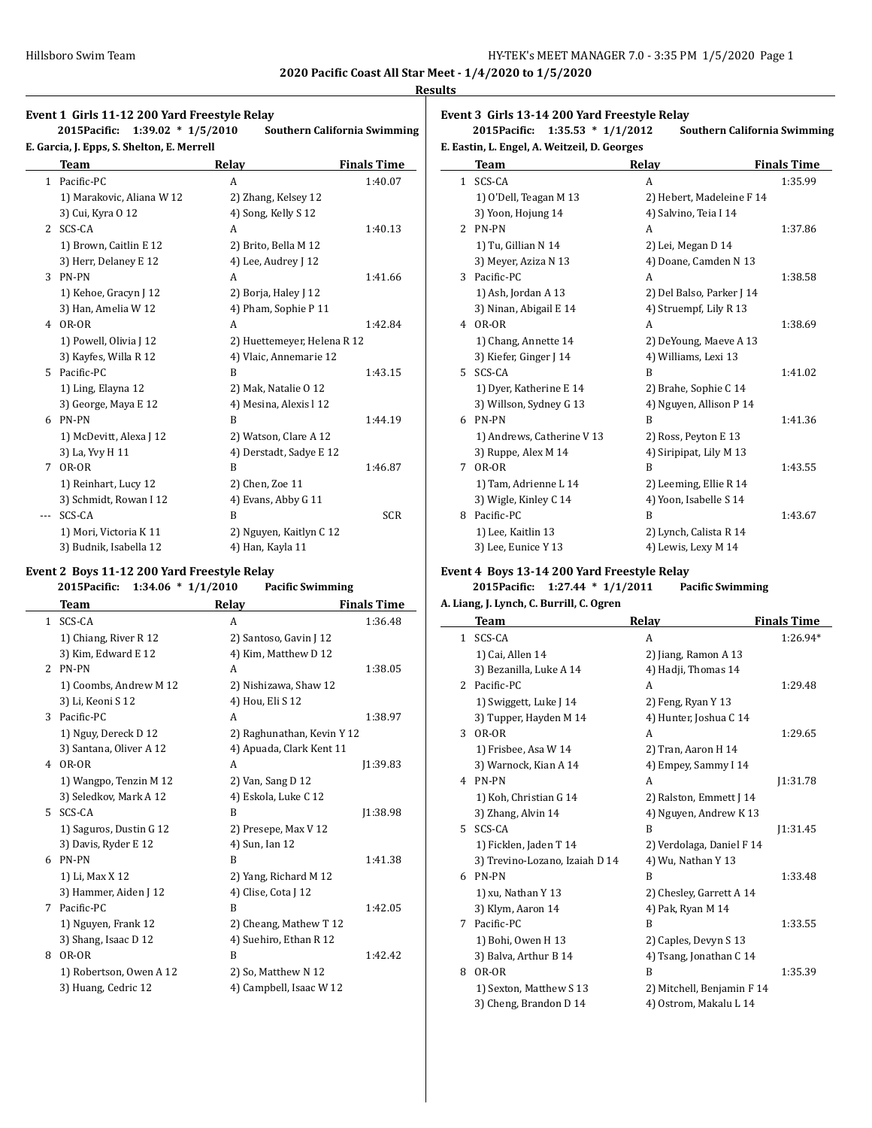**2020 Pacific Coast All Star Meet - 1/4/2020 to 1/5/2020 Results**

# **Event 1 Girls 11-12 200 Yard Freestyle Relay 2015Pacific: 1:39.02 \* 1/5/2010 Southern California Swimming E. Garcia, J. Epps, S. Shelton, E. Merrell Team Relay Finals Time**

| $\mathbf{1}$ | Pacific-PC                | A                           | 1:40.07    |
|--------------|---------------------------|-----------------------------|------------|
|              | 1) Marakovic, Aliana W 12 | 2) Zhang, Kelsey 12         |            |
|              | 3) Cui, Kyra 0 12         | 4) Song, Kelly S 12         |            |
| $2^{\circ}$  | SCS-CA                    | A                           | 1:40.13    |
|              | 1) Brown, Caitlin E 12    | 2) Brito, Bella M 12        |            |
|              | 3) Herr, Delaney E 12     | 4) Lee, Audrey J 12         |            |
|              | 3 PN-PN                   | A                           | 1:41.66    |
|              | 1) Kehoe, Gracyn J 12     | 2) Borja, Haley J 12        |            |
|              | 3) Han, Amelia W 12       | 4) Pham, Sophie P 11        |            |
| 4            | OR-OR                     | A                           | 1:42.84    |
|              | 1) Powell, Olivia J 12    | 2) Huettemeyer, Helena R 12 |            |
|              | 3) Kayfes, Willa R 12     | 4) Vlaic, Annemarie 12      |            |
|              | 5 Pacific-PC              | R                           | 1:43.15    |
|              | 1) Ling, Elayna 12        | 2) Mak, Natalie O 12        |            |
|              | 3) George, Maya E 12      | 4) Mesina, Alexis l 12      |            |
| 6            | PN-PN                     | B                           | 1:44.19    |
|              | 1) McDevitt, Alexa J 12   | 2) Watson, Clare A 12       |            |
|              | 3) La, Yvy H 11           | 4) Derstadt, Sadye E 12     |            |
| 7            | OR-OR                     | B                           | 1:46.87    |
|              | 1) Reinhart, Lucy 12      | 2) Chen, Zoe 11             |            |
|              | 3) Schmidt, Rowan I 12    | 4) Evans, Abby G 11         |            |
| $---$        | SCS-CA                    | B                           | <b>SCR</b> |
|              | 1) Mori, Victoria K 11    | 2) Nguyen, Kaitlyn C 12     |            |
|              | 3) Budnik, Isabella 12    | 4) Han, Kayla 11            |            |

### **Event 2 Boys 11-12 200 Yard Freestyle Relay**

### **2015Pacific: 1:34.06 \* 1/1/2010 Pacific Swimming Team Relay Finals Time** 1 SCS-CA A 1:36.48 1) Chiang, River R 12 2) Santoso, Gavin J 12 3) Kim, Edward E 12  $\qquad$  4) Kim, Matthew D 12 2 PN-PN A 1:38.05 1) Coombs, Andrew M 12 2) Nishizawa, Shaw 12 3) Li, Keoni S 12 4) Hou, Eli S 12 3 Pacific-PC A 1:38.97 1) Nguy, Dereck D 12 2) Raghunathan, Kevin Y 12 3) Santana, Oliver A 12 4) Apuada, Clark Kent 11 4 OR-OR A J1:39.83 1) Wangpo, Tenzin M 12 2) Van, Sang D 12 3) Seledkov, Mark A 12 4) Eskola, Luke C 12 5 SCS-CA B J1:38.98 1) Saguros, Dustin G 12 2) Presepe, Max V 12 3) Davis, Ryder E 12 4) Sun, Ian 12 6 PN-PN B 1:41.38 1) Li, Max X 12 2) Yang, Richard M 12 3) Hammer, Aiden J 12 4) Clise, Cota J 12 7 Pacific-PC B 1:42.05 1) Nguyen, Frank 12 2) Cheang, Mathew T 12 3) Shang, Isaac D 12 4) Suehiro, Ethan R 12 8 OR-OR B 1:42.42 1) Robertson, Owen A 12 2) So, Matthew N 12 3) Huang, Cedric 12 4) Campbell, Isaac W 12

**Event 3 Girls 13-14 200 Yard Freestyle Relay**

**2015Pacific: 1:35.53 \* 1/1/2012 Southern California Swimming E. Eastin, L. Engel, A. Weitzeil, D. Georges**

### **Team Relay Finals Time** 1 SCS-CA A 1:35.99 1) O'Dell, Teagan M 13 2) Hebert, Madeleine F 14 3) Yoon, Hojung 14 4) Salvino, Teia I 14 2 PN-PN A 1:37.86 1) Tu, Gillian N 14 2) Lei, Megan D 14 3) Meyer, Aziza N 13 4) Doane, Camden N 13 3 Pacific-PC A 1:38.58 1) Ash, Jordan A 13 2) Del Balso, Parker J 14 3) Ninan, Abigail E 14 4) Struempf, Lily R 13 4 OR-OR A 1:38.69 1) Chang, Annette 14 2) DeYoung, Maeve A 13 3) Kiefer, Ginger J 14 4) Williams, Lexi 13 5 SCS-CA B 1:41.02 1) Dyer, Katherine E 14 2) Brahe, Sophie C 14 3) Willson, Sydney G 13 4) Nguyen, Allison P 14 6 PN-PN B 1:41.36 1) Andrews, Catherine V 13 2) Ross, Peyton E 13 3) Ruppe, Alex M 14 4) Siripipat, Lily M 13 7 OR-OR B 1:43.55 1) Tam, Adrienne L 14 2) Leeming, Ellie R 14 3) Wigle, Kinley C 14 4) Yoon, Isabelle S 14 8 Pacific-PC B 1:43.67 1) Lee, Kaitlin 13 2) Lynch, Calista R 14 3) Lee, Eunice Y 13 4) Lewis, Lexy M 14

# **Event 4 Boys 13-14 200 Yard Freestyle Relay**

### **2015Pacific: 1:27.44 \* 1/1/2011 Pacific Swimming A. Liang, J. Lynch, C. Burrill, C. Ogren**

|    | Team                           | Relay                      | <b>Finals Time</b> |
|----|--------------------------------|----------------------------|--------------------|
|    | 1 SCS-CA                       | A                          | 1:26.94*           |
|    | 1) Cai, Allen 14               | 2) Jiang, Ramon A 13       |                    |
|    | 3) Bezanilla, Luke A 14        | 4) Hadji, Thomas 14        |                    |
| 2  | Pacific-PC                     | A                          | 1:29.48            |
|    | 1) Swiggett, Luke J 14         | 2) Feng, Ryan Y 13         |                    |
|    | 3) Tupper, Hayden M 14         | 4) Hunter, Joshua C 14     |                    |
| 3  | OR-OR                          | A                          | 1:29.65            |
|    | 1) Frisbee, Asa W 14           | 2) Tran, Aaron H 14        |                    |
|    | 3) Warnock, Kian A 14          | 4) Empey, Sammy I 14       |                    |
| 4  | PN-PN                          | A                          | 11:31.78           |
|    | 1) Koh, Christian G 14         | 2) Ralston, Emmett J 14    |                    |
|    | 3) Zhang, Alvin 14             | 4) Nguyen, Andrew K 13     |                    |
| 5. | SCS-CA                         | B                          | 11:31.45           |
|    | 1) Ficklen, Jaden T 14         | 2) Verdolaga, Daniel F 14  |                    |
|    | 3) Trevino-Lozano, Izaiah D 14 | 4) Wu, Nathan Y 13         |                    |
| 6  | PN-PN                          | B                          | 1:33.48            |
|    | 1) xu, Nathan Y 13             | 2) Chesley, Garrett A 14   |                    |
|    | 3) Klym, Aaron 14              | 4) Pak, Ryan M 14          |                    |
| 7  | Pacific-PC                     | B                          | 1:33.55            |
|    | 1) Bohi, Owen H 13             | 2) Caples, Devyn S 13      |                    |
|    | 3) Balva, Arthur B 14          | 4) Tsang, Jonathan C 14    |                    |
| 8  | OR-OR                          | B                          | 1:35.39            |
|    | 1) Sexton, Matthew S 13        | 2) Mitchell, Benjamin F 14 |                    |
|    | 3) Cheng, Brandon D 14         | 4) Ostrom, Makalu L 14     |                    |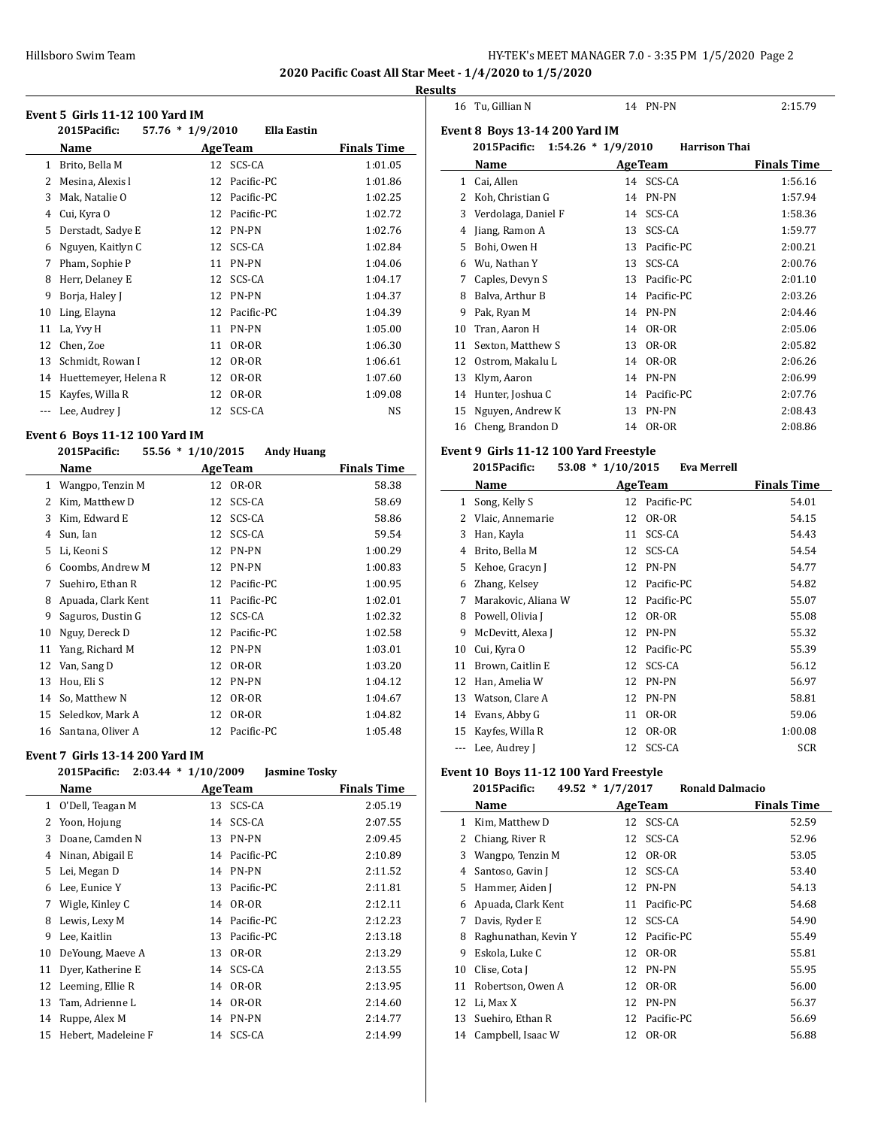**2020 Pacific Coast All Star Meet - 1/4/2020 to 1/5/2020 Results**

### **Event 5 Girls 11-12 100 Yard IM**

|    | EVENT 5 GIFIS I I-LZ TUU YATO IM |                  |                    |                    |
|----|----------------------------------|------------------|--------------------|--------------------|
|    | 2015Pacific:                     | 57.76 * 1/9/2010 | <b>Ella Eastin</b> |                    |
|    | Name                             |                  | <b>Age Team</b>    | <b>Finals Time</b> |
| 1  | Brito, Bella M                   | 12               | SCS-CA             | 1:01.05            |
| 2  | Mesina, Alexis l                 | 12               | Pacific-PC         | 1:01.86            |
| 3  | Mak, Natalie O                   | 12               | Pacific-PC         | 1:02.25            |
| 4  | Cui, Kyra O                      | 12               | Pacific-PC         | 1:02.72            |
| 5  | Derstadt, Sadye E                | 12               | PN-PN              | 1:02.76            |
| 6  | Nguyen, Kaitlyn C                | 12               | SCS-CA             | 1:02.84            |
| 7  | Pham, Sophie P                   | 11               | PN-PN              | 1:04.06            |
| 8  | Herr, Delaney E                  | 12               | SCS-CA             | 1:04.17            |
| 9  | Borja, Haley J                   | 12               | PN-PN              | 1:04.37            |
| 10 | Ling, Elayna                     | 12               | Pacific-PC         | 1:04.39            |
| 11 | La, Yvy H                        | 11               | PN-PN              | 1:05.00            |
| 12 | Chen, Zoe                        | 11               | OR-OR              | 1:06.30            |
| 13 | Schmidt, Rowan I                 | 12               | OR-OR              | 1:06.61            |
| 14 | Huettemeyer, Helena R            | 12               | OR-OR              | 1:07.60            |
| 15 | Kayfes, Willa R                  | 12               | OR-OR              | 1:09.08            |
|    | Lee, Audrey J                    | 12               | SCS-CA             | NS                 |

### **Event 6 Boys 11-12 100 Yard IM**

|    | 2015Pacific:       | $55.56 * 1/10/2015$ | <b>Andy Huang</b> |                    |
|----|--------------------|---------------------|-------------------|--------------------|
|    | Name               |                     | <b>AgeTeam</b>    | <b>Finals Time</b> |
| 1  | Wangpo, Tenzin M   | 12                  | OR-OR             | 58.38              |
| 2  | Kim, Matthew D     | 12                  | SCS-CA            | 58.69              |
| 3  | Kim, Edward E      | 12                  | SCS-CA            | 58.86              |
| 4  | Sun, Ian           | 12                  | SCS-CA            | 59.54              |
| 5  | Li, Keoni S        | 12                  | PN-PN             | 1:00.29            |
| 6  | Coombs, Andrew M   | 12                  | PN-PN             | 1:00.83            |
| 7  | Suehiro, Ethan R   | 12                  | Pacific-PC        | 1:00.95            |
| 8  | Apuada, Clark Kent | 11                  | Pacific-PC        | 1:02.01            |
| 9  | Saguros, Dustin G  | 12                  | SCS-CA            | 1:02.32            |
| 10 | Nguy, Dereck D     | 12                  | Pacific-PC        | 1:02.58            |
| 11 | Yang, Richard M    | 12                  | PN-PN             | 1:03.01            |
| 12 | Van, Sang D        | 12                  | OR-OR             | 1:03.20            |
| 13 | Hou, Eli S         | 12                  | <b>PN-PN</b>      | 1:04.12            |
| 14 | So, Matthew N      | 12                  | OR-OR             | 1:04.67            |
| 15 | Seledkov, Mark A   | 12                  | OR-OR             | 1:04.82            |
| 16 | Santana, Oliver A  | 12                  | Pacific-PC        | 1:05.48            |

#### **Event 7 Girls 13-14 200 Yard IM**

|    | 2015Pacific:        | $2:03.44 * 1/10/2009$ | <b>Jasmine Tosky</b> |                    |
|----|---------------------|-----------------------|----------------------|--------------------|
|    | Name                | <b>Age Team</b>       |                      | <b>Finals Time</b> |
| 1  | O'Dell, Teagan M    | 13                    | SCS-CA               | 2:05.19            |
| 2  | Yoon, Hojung        |                       | 14 SCS-CA            | 2:07.55            |
| 3  | Doane, Camden N     | 13                    | PN-PN                | 2:09.45            |
| 4  | Ninan, Abigail E    |                       | 14 Pacific-PC        | 2:10.89            |
| 5  | Lei, Megan D        | 14                    | <b>PN-PN</b>         | 2:11.52            |
| 6  | Lee, Eunice Y       | 13                    | Pacific-PC           | 2:11.81            |
| 7  | Wigle, Kinley C     | 14                    | OR-OR                | 2:12.11            |
| 8  | Lewis, Lexy M       |                       | 14 Pacific-PC        | 2:12.23            |
| 9  | Lee, Kaitlin        | 13                    | Pacific-PC           | 2:13.18            |
| 10 | DeYoung, Maeve A    | 13                    | OR-OR                | 2:13.29            |
| 11 | Dyer, Katherine E   |                       | 14 SCS-CA            | 2:13.55            |
| 12 | Leeming, Ellie R    | 14                    | OR-OR                | 2:13.95            |
| 13 | Tam, Adrienne L     | 14                    | OR-OR                | 2:14.60            |
| 14 | Ruppe, Alex M       |                       | 14 PN-PN             | 2:14.77            |
| 15 | Hebert, Madeleine F |                       | 14 SCS-CA            | 2:14.99            |
|    |                     |                       |                      |                    |

| 16             | Tu, Gillian N                          |    | 14 PN-PN             | 2:15.79            |
|----------------|----------------------------------------|----|----------------------|--------------------|
|                | <b>Event 8 Boys 13-14 200 Yard IM</b>  |    |                      |                    |
|                | 2015Pacific:<br>$1:54.26 * 1/9/2010$   |    | <b>Harrison Thai</b> |                    |
|                | Name                                   |    | <b>AgeTeam</b>       | <b>Finals Time</b> |
| $\mathbf{1}$   | Cai, Allen                             |    | 14 SCS-CA            | 1:56.16            |
| $\overline{2}$ | Koh, Christian G                       | 14 | PN-PN                | 1:57.94            |
| 3              | Verdolaga, Daniel F                    | 14 | SCS-CA               | 1:58.36            |
| 4              | Jiang, Ramon A                         | 13 | SCS-CA               | 1:59.77            |
| 5              | Bohi, Owen H                           |    | 13 Pacific-PC        | 2:00.21            |
| 6              | Wu, Nathan Y                           | 13 | SCS-CA               | 2:00.76            |
| 7              | Caples, Devyn S                        |    | 13 Pacific-PC        | 2:01.10            |
| 8              | Balva, Arthur B                        | 14 | Pacific-PC           | 2:03.26            |
| 9              | Pak, Ryan M                            | 14 | PN-PN                | 2:04.46            |
| 10             | Tran, Aaron H                          | 14 | OR-OR                | 2:05.06            |
| 11             | Sexton, Matthew S                      | 13 | OR-OR                | 2:05.82            |
| 12             | Ostrom, Makalu L                       | 14 | OR-OR                | 2:06.26            |
| 13             | Klym, Aaron                            |    | 14 PN-PN             | 2:06.99            |
| 14             | Hunter, Joshua C                       |    | 14 Pacific-PC        | 2:07.76            |
| 15             | Nguyen, Andrew K                       | 13 | PN-PN                | 2:08.43            |
| 16             | Cheng, Brandon D                       | 14 | OR-OR                | 2:08.86            |
|                | Event 9 Girls 11-12 100 Yard Freestyle |    |                      |                    |
|                | $53.08 * 1/10/2015$<br>2015Pacific:    |    | <b>Eva Merrell</b>   |                    |
|                | Name                                   |    | <b>AgeTeam</b>       | <b>Finals Time</b> |
| 1              | Song, Kelly S                          |    | 12 Pacific-PC        | 54.01              |
| 2              | Vlaic, Annemarie                       | 12 | OR-OR                | 54.15              |
| 3              | Han, Kayla                             | 11 | SCS-CA               | 54.43              |
| 4              | Brito, Bella M                         | 12 | SCS-CA               | 54.54              |
| 5              | Kehoe, Gracyn J                        | 12 | PN-PN                | 54.77              |
| 6              | Zhang, Kelsey                          | 12 | Pacific-PC           | 54.82              |

 Marakovic, Aliana W 12 Pacific-PC 55.07 8 Powell, Olivia J 12 OR-OR 55.08 9 McDevitt, Alexa J 12 PN-PN 55.32 10 Cui, Kyra O 12 Pacific-PC 55.39 11 Brown, Caitlin E 12 SCS-CA 56.12<br>12 Han, Amelia W 12 PN-PN 56.97 Han, Amelia W 12 PN-PN 56.97 13 Watson, Clare A 12 PN-PN 58.81 Evans, Abby G 11 OR-OR 59.06 15 Kayfes, Willa R 12 OR-OR 1:00.08

# --- Lee, Audrey J 12 SCS-CA SCR **Event 10 Boys 11-12 100 Yard Freestyle**

# **2015Pacific: 49.52 \* 1/7/2017 Ronald Dalmacio**

|    | 2015расніс:          | $49.34 \pm 1/7/2017$ | ROHAIU DAIMACIO |                    |
|----|----------------------|----------------------|-----------------|--------------------|
|    | Name                 |                      | <b>AgeTeam</b>  | <b>Finals Time</b> |
| 1  | Kim, Matthew D       | 12                   | SCS-CA          | 52.59              |
| 2  | Chiang, River R      | 12                   | SCS-CA          | 52.96              |
| 3  | Wangpo, Tenzin M     | 12                   | OR-OR           | 53.05              |
| 4  | Santoso, Gavin J     | 12                   | SCS-CA          | 53.40              |
| 5  | Hammer, Aiden J      | 12                   | PN-PN           | 54.13              |
| 6  | Apuada, Clark Kent   | 11                   | Pacific-PC      | 54.68              |
| 7  | Davis, Ryder E       |                      | 12 SCS-CA       | 54.90              |
| 8  | Raghunathan, Kevin Y | 12                   | Pacific-PC      | 55.49              |
| 9  | Eskola, Luke C       | 12                   | OR-OR           | 55.81              |
| 10 | Clise, Cota J        | 12                   | PN-PN           | 55.95              |
| 11 | Robertson, Owen A    | 12                   | OR-OR           | 56.00              |
| 12 | Li, Max X            | 12                   | PN-PN           | 56.37              |
| 13 | Suehiro, Ethan R     | 12                   | Pacific-PC      | 56.69              |
| 14 | Campbell, Isaac W    | 12                   | OR-OR           | 56.88              |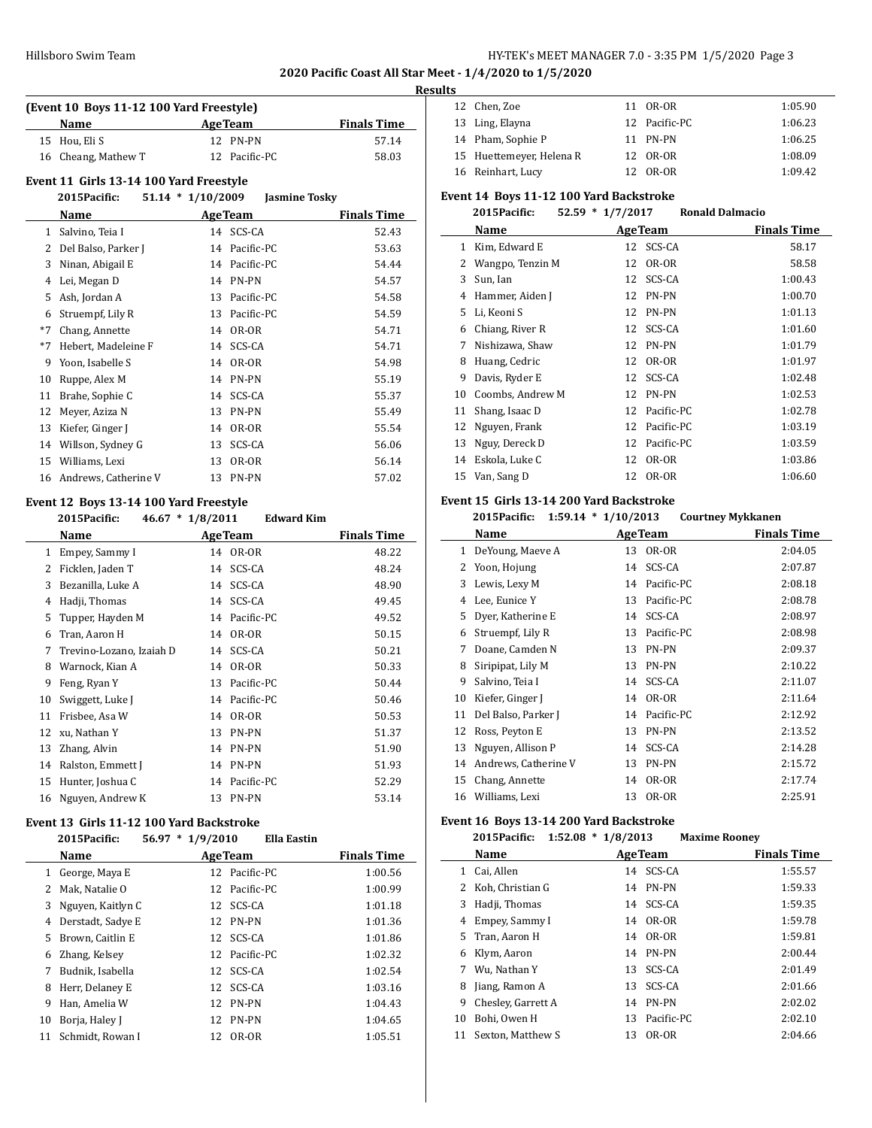**2020 Pacific Coast All Star Meet - 1/4/2020 to 1/5/2020**

#### **Results**

| (Event 10 Boys 11-12 100 Yard Freestyle) |                     |                 |                    |  |  |
|------------------------------------------|---------------------|-----------------|--------------------|--|--|
|                                          | <b>Name</b>         | <b>Age Team</b> | <b>Finals Time</b> |  |  |
|                                          | 15 Hou, Eli S       | 12 PN-PN        | 57.14              |  |  |
|                                          | 16 Cheang, Mathew T | 12 Pacific-PC   | 58.03              |  |  |

### **Event 11 Girls 13-14 100 Yard Freestyle**

|      | 2015Pacific:         | $51.14 * 1/10/2009$ |                    | <b>Jasmine Tosky</b> |                    |
|------|----------------------|---------------------|--------------------|----------------------|--------------------|
|      | Name                 |                     | <b>Age Team</b>    |                      | <b>Finals Time</b> |
| 1    | Salvino, Teia I      |                     | 14 SCS-CA          |                      | 52.43              |
| 2    | Del Balso, Parker J  |                     | Pacific-PC<br>14   |                      | 53.63              |
| 3    | Ninan, Abigail E     |                     | Pacific-PC<br>14   |                      | 54.44              |
| 4    | Lei, Megan D         |                     | <b>PN-PN</b><br>14 |                      | 54.57              |
| 5    | Ash, Jordan A        | 13                  | Pacific-PC         |                      | 54.58              |
| 6    | Struempf, Lily R     | 13                  | Pacific-PC         |                      | 54.59              |
| $*7$ | Chang, Annette       |                     | OR-OR<br>14        |                      | 54.71              |
| $*7$ | Hebert, Madeleine F  |                     | SCS-CA<br>14       |                      | 54.71              |
| 9    | Yoon, Isabelle S     |                     | OR-OR<br>14        |                      | 54.98              |
| 10   | Ruppe, Alex M        |                     | PN-PN<br>14        |                      | 55.19              |
| 11   | Brahe, Sophie C      |                     | SCS-CA<br>14       |                      | 55.37              |
| 12   | Meyer, Aziza N       | 13                  | PN-PN              |                      | 55.49              |
| 13   | Kiefer, Ginger J     |                     | OR-OR<br>14        |                      | 55.54              |
| 14   | Willson, Sydney G    | 13                  | SCS-CA             |                      | 56.06              |
| 15   | Williams, Lexi       | 13                  | OR-OR              |                      | 56.14              |
| 16   | Andrews, Catherine V |                     | <b>PN-PN</b><br>13 |                      | 57.02              |

### **Event 12 Boys 13-14 100 Yard Freestyle**

|    | $46.67 * 1/8/2011$<br>2015Pacific: |    | <b>Edward Kim</b> |                    |
|----|------------------------------------|----|-------------------|--------------------|
|    | Name                               |    | <b>AgeTeam</b>    | <b>Finals Time</b> |
| 1  | Empey, Sammy I                     |    | 14 OR-OR          | 48.22              |
| 2  | Ficklen, Jaden T                   | 14 | SCS-CA            | 48.24              |
| 3  | Bezanilla, Luke A                  | 14 | SCS-CA            | 48.90              |
| 4  | Hadji, Thomas                      | 14 | SCS-CA            | 49.45              |
| 5  | Tupper, Hayden M                   | 14 | Pacific-PC        | 49.52              |
| 6  | Tran, Aaron H                      | 14 | OR-OR             | 50.15              |
| 7  | Trevino-Lozano, Izaiah D           | 14 | SCS-CA            | 50.21              |
| 8  | Warnock, Kian A                    | 14 | OR-OR             | 50.33              |
| 9  | Feng, Ryan Y                       | 13 | Pacific-PC        | 50.44              |
| 10 | Swiggett, Luke J                   | 14 | Pacific-PC        | 50.46              |
| 11 | Frisbee, Asa W                     | 14 | OR-OR             | 50.53              |
| 12 | xu, Nathan Y                       | 13 | PN-PN             | 51.37              |
| 13 | Zhang, Alvin                       | 14 | PN-PN             | 51.90              |
| 14 | Ralston, Emmett J                  | 14 | PN-PN             | 51.93              |
| 15 | Hunter, Joshua C                   | 14 | Pacific-PC        | 52.29              |
| 16 | Nguyen, Andrew K                   | 13 | <b>PN-PN</b>      | 53.14              |
|    |                                    |    |                   |                    |

# **Event 13 Girls 11-12 100 Yard Backstroke**

# **2015Pacific: 56.97 \* 1/9/2010 Ella Eastin**

|    | Name              |    | <b>AgeTeam</b> | <b>Finals Time</b> |
|----|-------------------|----|----------------|--------------------|
| 1  | George, Maya E    |    | 12 Pacific-PC  | 1:00.56            |
| 2  | Mak, Natalie O    |    | 12 Pacific-PC  | 1:00.99            |
| 3  | Nguyen, Kaitlyn C |    | 12 SCS-CA      | 1:01.18            |
| 4  | Derstadt, Sadye E |    | 12 PN-PN       | 1:01.36            |
| 5. | Brown, Caitlin E  |    | 12 SCS-CA      | 1:01.86            |
| 6  | Zhang, Kelsey     |    | 12 Pacific-PC  | 1:02.32            |
|    | Budnik, Isabella  |    | 12 SCS-CA      | 1:02.54            |
| 8  | Herr, Delaney E   | 12 | SCS-CA         | 1:03.16            |
| 9  | Han, Amelia W     |    | 12 PN-PN       | 1:04.43            |
| 10 | Borja, Haley J    |    | 12 PN-PN       | 1:04.65            |
| 11 | Schmidt, Rowan I  | 12 | OR-OR          | 1:05.51            |

| 12 Chen, Zoe             | 11 OR-OR      | 1:05.90 |
|--------------------------|---------------|---------|
| 13 Ling, Elayna          | 12 Pacific-PC | 1:06.23 |
| 14 Pham, Sophie P        | 11 PN-PN      | 1:06.25 |
| 15 Huettemeyer, Helena R | 12 OR-OR      | 1:08.09 |
| 16 Reinhart, Lucy        | 12 OR-OR      | 1:09.42 |

# **Event 14 Boys 11-12 100 Yard Backstroke**

|    | 2015Pacific:     | $52.59 * 1/7/2017$ | <b>Ronald Dalmacio</b> |                    |
|----|------------------|--------------------|------------------------|--------------------|
|    | Name             | <b>AgeTeam</b>     |                        | <b>Finals Time</b> |
| 1  | Kim, Edward E    | 12                 | SCS-CA                 | 58.17              |
| 2  | Wangpo, Tenzin M | 12                 | OR-OR                  | 58.58              |
| 3  | Sun, Ian         | 12                 | SCS-CA                 | 1:00.43            |
| 4  | Hammer, Aiden J  | 12                 | <b>PN-PN</b>           | 1:00.70            |
| 5  | Li, Keoni S      | 12                 | <b>PN-PN</b>           | 1:01.13            |
| 6  | Chiang, River R  | 12                 | SCS-CA                 | 1:01.60            |
| 7  | Nishizawa, Shaw  | 12                 | PN-PN                  | 1:01.79            |
| 8  | Huang, Cedric    | 12                 | OR-OR                  | 1:01.97            |
| 9  | Davis, Ryder E   | 12                 | SCS-CA                 | 1:02.48            |
| 10 | Coombs, Andrew M | 12                 | PN-PN                  | 1:02.53            |
| 11 | Shang, Isaac D   | 12                 | Pacific-PC             | 1:02.78            |
| 12 | Nguyen, Frank    | 12                 | Pacific-PC             | 1:03.19            |
| 13 | Nguy, Dereck D   | 12                 | Pacific-PC             | 1:03.59            |
| 14 | Eskola, Luke C   | 12                 | OR-OR                  | 1:03.86            |
| 15 | Van, Sang D      | 12                 | OR-OR                  | 1:06.60            |

### **Event 15 Girls 13-14 200 Yard Backstroke**

#### **2015Pacific: 1:59.14 \* 1/10/2013 Courtney Mykkanen**

|              | Name                 |    | <b>AgeTeam</b> | <b>Finals Time</b> |
|--------------|----------------------|----|----------------|--------------------|
| $\mathbf{1}$ | DeYoung, Maeve A     | 13 | OR-OR          | 2:04.05            |
| 2            | Yoon, Hojung         | 14 | SCS-CA         | 2:07.87            |
| 3            | Lewis, Lexy M        | 14 | Pacific-PC     | 2:08.18            |
| 4            | Lee, Eunice Y        | 13 | Pacific-PC     | 2:08.78            |
| 5            | Dyer, Katherine E    |    | 14 SCS-CA      | 2:08.97            |
| 6            | Struempf, Lily R     | 13 | Pacific-PC     | 2:08.98            |
| 7            | Doane, Camden N      | 13 | PN-PN          | 2:09.37            |
| 8            | Siripipat, Lily M    | 13 | PN-PN          | 2:10.22            |
| 9            | Salvino, Teia I      | 14 | SCS-CA         | 2:11.07            |
| 10           | Kiefer, Ginger J     | 14 | OR-OR          | 2:11.64            |
| 11           | Del Balso, Parker J  | 14 | Pacific-PC     | 2:12.92            |
| 12           | Ross, Peyton E       | 13 | PN-PN          | 2:13.52            |
| 13           | Nguyen, Allison P    | 14 | SCS-CA         | 2:14.28            |
| 14           | Andrews, Catherine V | 13 | PN-PN          | 2:15.72            |
| 15           | Chang, Annette       | 14 | OR-OR          | 2:17.74            |
| 16           | Williams, Lexi       | 13 | OR-OR          | 2:25.91            |

### **Event 16 Boys 13-14 200 Yard Backstroke**

|    | 2015Pacific:       | $1:52.08 * 1/8/2013$ | <b>Maxime Rooney</b> |                    |
|----|--------------------|----------------------|----------------------|--------------------|
|    | Name               | <b>AgeTeam</b>       |                      | <b>Finals Time</b> |
| 1  | Cai, Allen         | 14 SCS-CA            |                      | 1:55.57            |
|    | Koh, Christian G   | 14 PN-PN             |                      | 1:59.33            |
| 3  | Hadji, Thomas      | 14 SCS-CA            |                      | 1:59.35            |
| 4  | Empey, Sammy I     | 14 OR-OR             |                      | 1:59.78            |
| 5. | Tran, Aaron H      | 14 OR-OR             |                      | 1:59.81            |
| 6  | Klym, Aaron        | 14 PN-PN             |                      | 2:00.44            |
| 7  | Wu. Nathan Y       | 13                   | SCS-CA               | 2:01.49            |
| 8  | Jiang, Ramon A     | 13                   | SCS-CA               | 2:01.66            |
| 9  | Chesley, Garrett A | 14                   | PN-PN                | 2:02.02            |
| 10 | Bohi, Owen H       | 13                   | Pacific-PC           | 2:02.10            |
| 11 | Sexton, Matthew S  | 13                   | OR-OR                | 2:04.66            |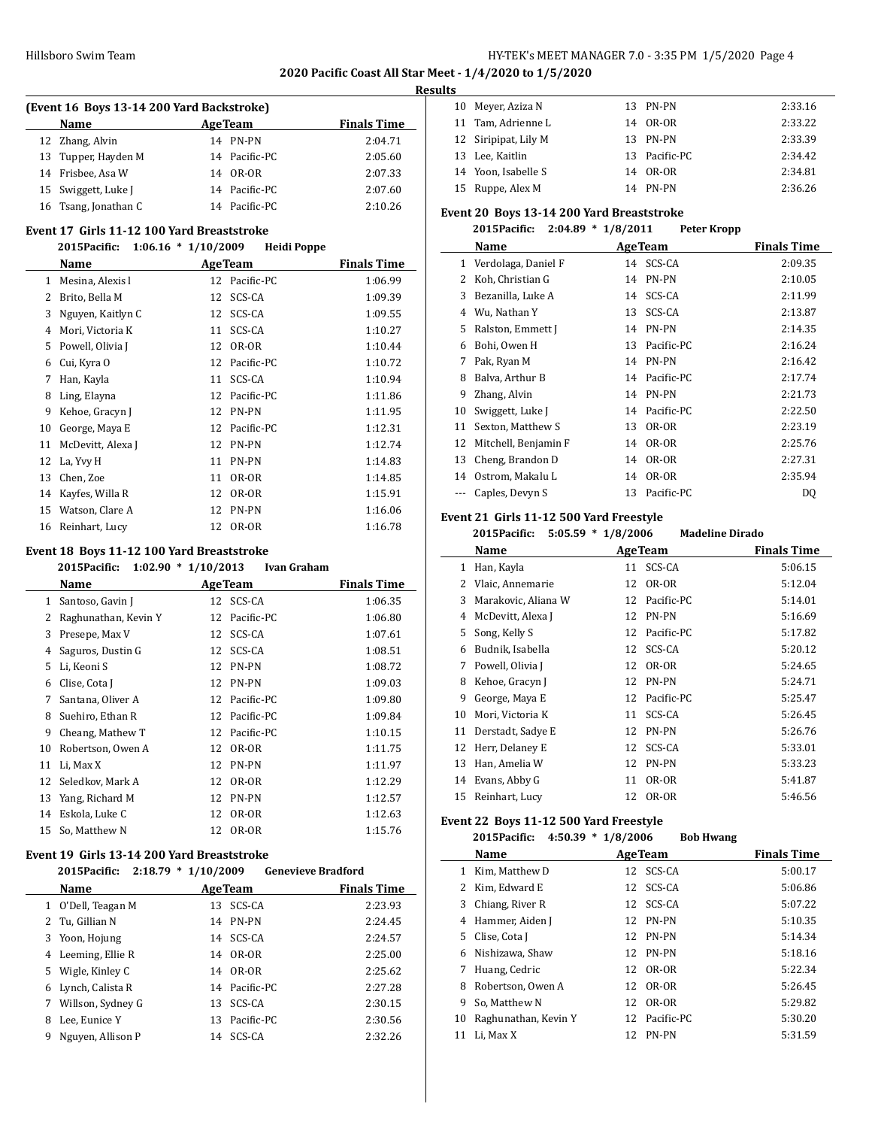**2020 Pacific Coast All Star Meet - 1/4/2020 to 1/5/2020**

#### **Results**

 $\equiv$ 

| (Event 16 Boys 13-14 200 Yard Backstroke) |  |                |                    |  |
|-------------------------------------------|--|----------------|--------------------|--|
| Name                                      |  | <b>AgeTeam</b> | <b>Finals Time</b> |  |
| 12 Zhang, Alvin                           |  | 14 PN-PN       | 2:04.71            |  |
| 13 Tupper, Hayden M                       |  | 14 Pacific-PC  | 2:05.60            |  |
| 14 Frisbee, Asa W                         |  | 14 OR-OR       | 2:07.33            |  |
| 15 Swiggett, Luke J                       |  | 14 Pacific-PC  | 2:07.60            |  |
| 16 Tsang, Jonathan C                      |  | 14 Pacific-PC  | 2:10.26            |  |

#### **Event 17 Girls 11-12 100 Yard Breaststroke**

### **2015Pacific: 1:06.16 \* 1/10/2009 Heidi Poppe**

|    | Name              |    | <b>AgeTeam</b> | <b>Finals Time</b> |
|----|-------------------|----|----------------|--------------------|
| 1  | Mesina, Alexis l  |    | 12 Pacific-PC  | 1:06.99            |
| 2  | Brito, Bella M    | 12 | SCS-CA         | 1:09.39            |
| 3  | Nguyen, Kaitlyn C | 12 | SCS-CA         | 1:09.55            |
| 4  | Mori, Victoria K  | 11 | SCS-CA         | 1:10.27            |
| 5  | Powell, Olivia J  | 12 | OR-OR          | 1:10.44            |
| 6  | Cui, Kyra O       | 12 | Pacific-PC     | 1:10.72            |
| 7  | Han, Kayla        | 11 | SCS-CA         | 1:10.94            |
| 8  | Ling, Elayna      | 12 | Pacific-PC     | 1:11.86            |
| 9  | Kehoe, Gracyn J   | 12 | <b>PN-PN</b>   | 1:11.95            |
| 10 | George, Maya E    | 12 | Pacific-PC     | 1:12.31            |
| 11 | McDevitt, Alexa J | 12 | PN-PN          | 1:12.74            |
| 12 | La, Yvy H         | 11 | PN-PN          | 1:14.83            |
| 13 | Chen, Zoe         | 11 | OR-OR          | 1:14.85            |
| 14 | Kayfes, Willa R   | 12 | OR-OR          | 1:15.91            |
| 15 | Watson, Clare A   | 12 | PN-PN          | 1:16.06            |
| 16 | Reinhart, Lucy    | 12 | OR-OR          | 1:16.78            |

### **Event 18 Boys 11-12 100 Yard Breaststroke**

|    | 2015Pacific:         | $1:02.90 * 1/10/2013$<br>Ivan Graham |                    |
|----|----------------------|--------------------------------------|--------------------|
|    | Name                 | <b>Age Team</b>                      | <b>Finals Time</b> |
| 1  | Santoso, Gavin J     | SCS-CA<br>12                         | 1:06.35            |
| 2  | Raghunathan, Kevin Y | Pacific-PC<br>12                     | 1:06.80            |
| 3  | Presepe, Max V       | SCS-CA<br>12                         | 1:07.61            |
| 4  | Saguros, Dustin G    | SCS-CA<br>12                         | 1:08.51            |
| 5  | Li, Keoni S          | PN-PN<br>12                          | 1:08.72            |
| 6  | Clise, Cota J        | PN-PN<br>12                          | 1:09.03            |
| 7  | Santana, Oliver A    | Pacific-PC<br>12                     | 1:09.80            |
| 8  | Suehiro, Ethan R     | Pacific-PC<br>12                     | 1:09.84            |
| 9  | Cheang, Mathew T     | Pacific-PC<br>12                     | 1:10.15            |
| 10 | Robertson, Owen A    | OR-OR<br>12                          | 1:11.75            |
| 11 | Li, Max X            | <b>PN-PN</b><br>12                   | 1:11.97            |
|    | 12 Seledkov, Mark A  | OR-OR<br>12                          | 1:12.29            |
| 13 | Yang, Richard M      | <b>PN-PN</b><br>12                   | 1:12.57            |
| 14 | Eskola, Luke C       | OR-OR<br>12                          | 1:12.63            |
| 15 | So, Matthew N        | OR-OR<br>12                          | 1:15.76            |

#### **Event 19 Girls 13-14 200 Yard Breaststroke 2015Pacific: 2:18.79 \* 1/10/2009 Genevieve Bradford**

|    | 2015Pacific: 2:18.79 * 1/10/2009 |                | <b>Genevieve Bradford</b> |
|----|----------------------------------|----------------|---------------------------|
|    | Name                             | <b>AgeTeam</b> | <b>Finals Time</b>        |
|    | 1 O'Dell, Teagan M               | 13 SCS-CA      | 2:23.93                   |
|    | 2 Tu, Gillian N                  | 14 PN-PN       | 2:24.45                   |
| 3  | Yoon, Hojung                     | 14 SCS-CA      | 2:24.57                   |
|    | 4 Leeming, Ellie R               | 14 OR-OR       | 2:25.00                   |
| 5. | Wigle, Kinley C                  | 14 OR-OR       | 2:25.62                   |
|    | 6 Lynch, Calista R               | 14 Pacific-PC  | 2:27.28                   |
|    | 7 Willson, Sydney G              | 13 SCS-CA      | 2:30.15                   |
| 8  | Lee, Eunice Y                    | 13 Pacific-PC  | 2:30.56                   |
| 9  | Nguyen, Allison P                | 14 SCS-CA      | 2:32.26                   |

| 10 Meyer, Aziza N    | 13 PN-PN      | 2:33.16 |
|----------------------|---------------|---------|
| 11 Tam, Adrienne L   | 14 OR-OR      | 2:33.22 |
| 12 Siripipat, Lily M | 13 PN-PN      | 2:33.39 |
| 13 Lee, Kaitlin      | 13 Pacific-PC | 2:34.42 |
| 14 Yoon, Isabelle S  | 14 OR-OR      | 2:34.81 |
| 15 Ruppe, Alex M     | 14 PN-PN      | 2:36.26 |

### **Event 20 Boys 13-14 200 Yard Breaststroke**

### **2015Pacific: 2:04.89 \* 1/8/2011 Peter Kropp**

| Name                 |    |            | <b>Finals Time</b>                    |
|----------------------|----|------------|---------------------------------------|
| Verdolaga, Daniel F  | 14 | SCS-CA     | 2:09.35                               |
| Koh, Christian G     | 14 | PN-PN      | 2:10.05                               |
| Bezanilla, Luke A    | 14 | SCS-CA     | 2:11.99                               |
| Wu, Nathan Y         | 13 | SCS-CA     | 2:13.87                               |
| Ralston, Emmett J    | 14 | PN-PN      | 2:14.35                               |
| Bohi, Owen H         | 13 | Pacific-PC | 2:16.24                               |
| Pak, Ryan M          | 14 |            | 2:16.42                               |
| Balva, Arthur B      | 14 | Pacific-PC | 2:17.74                               |
| Zhang, Alvin         | 14 | PN-PN      | 2:21.73                               |
| Swiggett, Luke J     | 14 |            | 2:22.50                               |
| Sexton, Matthew S    | 13 | OR-OR      | 2:23.19                               |
| Mitchell, Benjamin F | 14 | OR-OR      | 2:25.76                               |
| Cheng, Brandon D     | 14 | OR-OR      | 2:27.31                               |
| Ostrom, Makalu L     | 14 | OR-OR      | 2:35.94                               |
| Caples, Devyn S      | 13 | Pacific-PC | DQ                                    |
|                      |    |            | <b>AgeTeam</b><br>PN-PN<br>Pacific-PC |

### **Event 21 Girls 11-12 500 Yard Freestyle**

|    | 2015Pacific:        | $5:05.59 * 1/8/2006$ | <b>Madeline Dirado</b> |                    |
|----|---------------------|----------------------|------------------------|--------------------|
|    | Name                | <b>AgeTeam</b>       |                        | <b>Finals Time</b> |
| 1  | Han, Kayla          | 11                   | SCS-CA                 | 5:06.15            |
| 2  | Vlaic, Annemarie    | 12                   | OR-OR                  | 5:12.04            |
| 3  | Marakovic, Aliana W | 12                   | Pacific-PC             | 5:14.01            |
| 4  | McDevitt, Alexa J   | 12                   | <b>PN-PN</b>           | 5:16.69            |
| 5  | Song, Kelly S       | 12                   | Pacific-PC             | 5:17.82            |
| 6  | Budnik, Isabella    | 12                   | SCS-CA                 | 5:20.12            |
| 7  | Powell, Olivia J    | 12                   | OR-OR                  | 5:24.65            |
| 8  | Kehoe, Gracyn J     | 12                   | PN-PN                  | 5:24.71            |
| 9  | George, Maya E      | 12                   | Pacific-PC             | 5:25.47            |
| 10 | Mori, Victoria K    | 11                   | SCS-CA                 | 5:26.45            |
| 11 | Derstadt, Sadye E   | 12                   | PN-PN                  | 5:26.76            |
| 12 | Herr, Delaney E     | 12                   | SCS-CA                 | 5:33.01            |
| 13 | Han, Amelia W       | 12                   | <b>PN-PN</b>           | 5:33.23            |
| 14 | Evans, Abby G       | 11                   | OR-OR                  | 5:41.87            |
| 15 | Reinhart, Lucy      | 12                   | OR-OR                  | 5:46.56            |

### **Event 22 Boys 11-12 500 Yard Freestyle**

|    | 2015Pacific:         | $4:50.39 * 1/8/2006$ | <b>Bob Hwang</b> |                    |
|----|----------------------|----------------------|------------------|--------------------|
|    | Name                 | <b>AgeTeam</b>       |                  | <b>Finals Time</b> |
| 1  | Kim. Matthew D       |                      | 12 SCS-CA        | 5:00.17            |
|    | Kim, Edward E        |                      | 12 SCS-CA        | 5:06.86            |
| 3  | Chiang, River R      |                      | 12 SCS-CA        | 5:07.22            |
| 4  | Hammer, Aiden J      |                      | 12 PN-PN         | 5:10.35            |
| 5  | Clise, Cota J        |                      | 12 PN-PN         | 5:14.34            |
| 6  | Nishizawa, Shaw      |                      | 12 PN-PN         | 5:18.16            |
| 7  | Huang, Cedric        |                      | 12 OR-OR         | 5:22.34            |
| 8  | Robertson, Owen A    | 12                   | OR-OR            | 5:26.45            |
| 9  | So. Matthew N        | 12                   | OR-OR            | 5:29.82            |
| 10 | Raghunathan, Kevin Y |                      | 12 Pacific-PC    | 5:30.20            |
| 11 | Li, Max X            | 12                   | PN-PN            | 5:31.59            |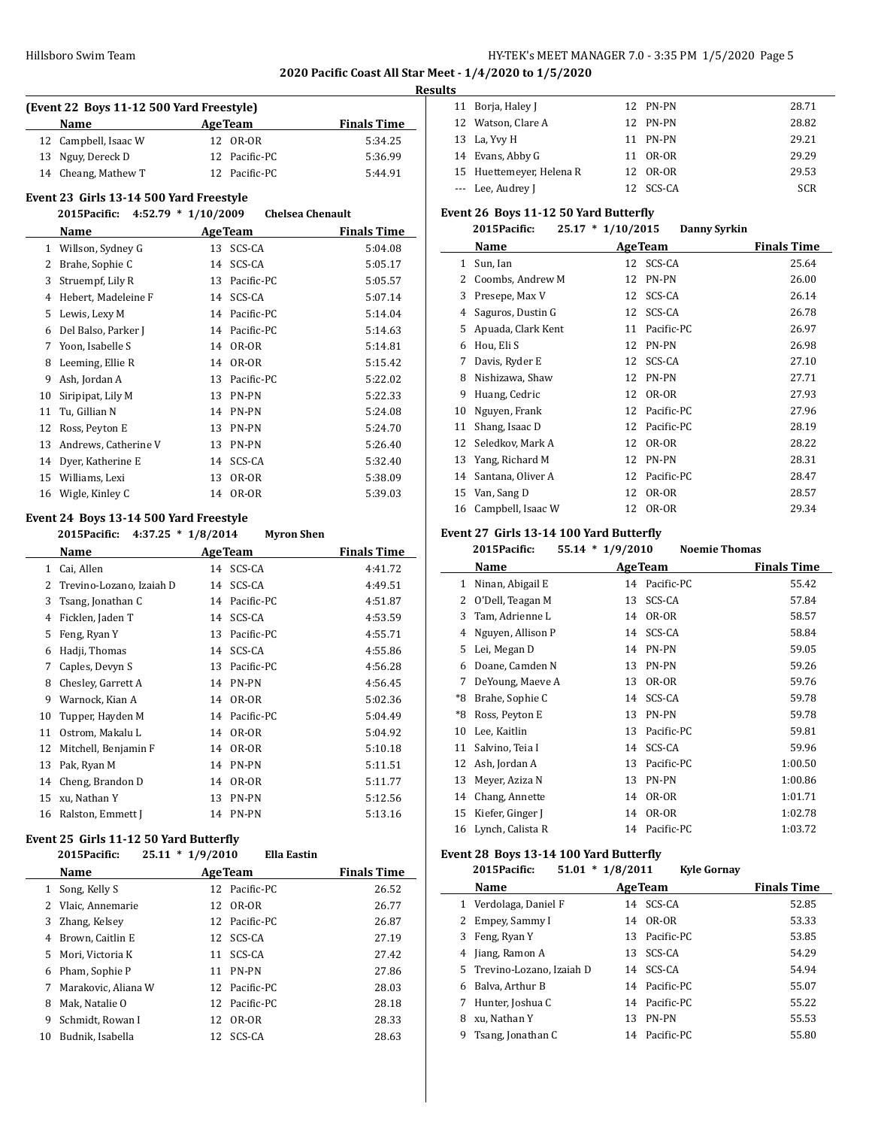**2020 Pacific Coast All Star Meet - 1/4/2020 to 1/5/2020**

#### **Results**

| (Event 22 Boys 11-12 500 Yard Freestyle) |                      |  |                |                    |
|------------------------------------------|----------------------|--|----------------|--------------------|
|                                          | <b>Name</b>          |  | <b>AgeTeam</b> | <b>Finals Time</b> |
|                                          | 12 Campbell, Isaac W |  | 12 OR-OR       | 5:34.25            |
|                                          | 13 Nguy, Dereck D    |  | 12 Pacific-PC  | 5:36.99            |
|                                          | 14 Cheang, Mathew T  |  | 12 Pacific-PC  | 5:44.91            |

### **Event 23 Girls 13-14 500 Yard Freestyle**

|    | 2015Pacific:         | $4:52.79 * 1/10/2009$<br><b>Chelsea Chenault</b> |                    |
|----|----------------------|--------------------------------------------------|--------------------|
|    | Name                 | <b>AgeTeam</b>                                   | <b>Finals Time</b> |
| 1  | Willson, Sydney G    | SCS-CA<br>13                                     | 5:04.08            |
| 2  | Brahe, Sophie C      | SCS-CA<br>14                                     | 5:05.17            |
| 3  | Struempf, Lily R     | Pacific-PC<br>13                                 | 5:05.57            |
| 4  | Hebert, Madeleine F  | SCS-CA<br>14                                     | 5:07.14            |
| 5  | Lewis, Lexy M        | Pacific-PC<br>14                                 | 5:14.04            |
| 6  | Del Balso, Parker J  | Pacific-PC<br>14                                 | 5:14.63            |
| 7  | Yoon, Isabelle S     | OR-OR<br>14                                      | 5:14.81            |
| 8  | Leeming, Ellie R     | OR-OR<br>14                                      | 5:15.42            |
| 9  | Ash, Jordan A        | Pacific-PC<br>13                                 | 5:22.02            |
| 10 | Siripipat, Lily M    | PN-PN<br>13                                      | 5:22.33            |
| 11 | Tu, Gillian N        | <b>PN-PN</b><br>14                               | 5:24.08            |
| 12 | Ross, Peyton E       | <b>PN-PN</b><br>13                               | 5:24.70            |
| 13 | Andrews, Catherine V | PN-PN<br>13                                      | 5:26.40            |
| 14 | Dyer, Katherine E    | SCS-CA<br>14                                     | 5:32.40            |
| 15 | Williams, Lexi       | OR-OR<br>13                                      | 5:38.09            |
| 16 | Wigle, Kinley C      | OR-OR<br>14                                      | 5:39.03            |

### **Event 24 Boys 13-14 500 Yard Freestyle**

**2015Pacific: 4:37.25 \* 1/8/2014 Myron Shen**

|    | Name                     | <b>AgeTeam</b>   | <b>Finals Time</b> |
|----|--------------------------|------------------|--------------------|
| 1  | Cai, Allen               | SCS-CA<br>14     | 4:41.72            |
| 2  | Trevino-Lozano, Izaiah D | 14 SCS-CA        | 4:49.51            |
| 3  | Tsang, Jonathan C        | Pacific-PC<br>14 | 4:51.87            |
| 4  | Ficklen, Jaden T         | SCS-CA<br>14     | 4:53.59            |
| 5  | Feng, Ryan Y             | Pacific-PC<br>13 | 4:55.71            |
| 6  | Hadji, Thomas            | SCS-CA<br>14     | 4:55.86            |
| 7  | Caples, Devyn S          | Pacific-PC<br>13 | 4:56.28            |
| 8  | Chesley, Garrett A       | 14 PN-PN         | 4:56.45            |
| 9  | Warnock, Kian A          | OR-OR<br>14      | 5:02.36            |
| 10 | Tupper, Hayden M         | Pacific-PC<br>14 | 5:04.49            |
| 11 | Ostrom, Makalu L         | OR-OR<br>14      | 5:04.92            |
| 12 | Mitchell, Benjamin F     | OR-OR<br>14      | 5:10.18            |
| 13 | Pak, Ryan M              | PN-PN<br>14      | 5:11.51            |
| 14 | Cheng, Brandon D         | OR-OR<br>14      | 5:11.77            |
| 15 | xu, Nathan Y             | PN-PN<br>13      | 5:12.56            |
| 16 | Ralston, Emmett J        | PN-PN<br>14      | 5:13.16            |

### **Event 25 Girls 11-12 50 Yard Butterfly**

|    | 2015Pacific:        | 25.11 | $*1/9/2010$ |                 | <b>Ella Eastin</b> |                    |
|----|---------------------|-------|-------------|-----------------|--------------------|--------------------|
|    | Name                |       |             | <b>Age Team</b> |                    | <b>Finals Time</b> |
| 1  | Song, Kelly S       |       |             | 12 Pacific-PC   |                    | 26.52              |
|    | 2 Vlaic, Annemarie  |       |             | 12 OR-OR        |                    | 26.77              |
| 3  | Zhang, Kelsey       |       |             | 12 Pacific-PC   |                    | 26.87              |
| 4  | Brown, Caitlin E    |       | 12          | SCS-CA          |                    | 27.19              |
| 5. | Mori, Victoria K    |       | 11          | SCS-CA          |                    | 27.42              |
| 6  | Pham, Sophie P      |       | 11          | PN-PN           |                    | 27.86              |
| 7  | Marakovic, Aliana W |       |             | 12 Pacific-PC   |                    | 28.03              |
| 8  | Mak, Natalie O      |       |             | 12 Pacific-PC   |                    | 28.18              |
| 9  | Schmidt. Rowan I    |       | 12          | OR-OR           |                    | 28.33              |
| 10 | Budnik. Isabella    |       | 12.         | SCS-CA          |                    | 28.63              |

|  | 11 Borja, Haley J        | 12 PN-PN  | 28.71      |
|--|--------------------------|-----------|------------|
|  | 12 Watson, Clare A       | 12 PN-PN  | 28.82      |
|  | 13 La, Yvy H             | 11 PN-PN  | 29.21      |
|  | 14 Evans, Abby G         | 11 OR-OR  | 29.29      |
|  | 15 Huettemeyer, Helena R | 12 OR-OR  | 29.53      |
|  | --- Lee, Audrey J        | 12 SCS-CA | <b>SCR</b> |

### **Event 26 Boys 11-12 50 Yard Butterfly**

### **2015Pacific: 25.17 \* 1/10/2015 Danny Syrkin**

|    | Name               |    | <b>AgeTeam</b> | <b>Finals Time</b> |
|----|--------------------|----|----------------|--------------------|
| 1  | Sun, Ian           | 12 | SCS-CA         | 25.64              |
| 2  | Coombs, Andrew M   | 12 | PN-PN          | 26.00              |
| 3  | Presepe, Max V     | 12 | SCS-CA         | 26.14              |
| 4  | Saguros, Dustin G  | 12 | SCS-CA         | 26.78              |
| 5  | Apuada, Clark Kent | 11 | Pacific-PC     | 26.97              |
| 6  | Hou, Eli S         | 12 | PN-PN          | 26.98              |
| 7  | Davis, Ryder E     | 12 | SCS-CA         | 27.10              |
| 8  | Nishizawa, Shaw    | 12 | PN-PN          | 27.71              |
| 9  | Huang, Cedric      | 12 | OR-OR          | 27.93              |
| 10 | Nguyen, Frank      | 12 | Pacific-PC     | 27.96              |
| 11 | Shang, Isaac D     | 12 | Pacific-PC     | 28.19              |
| 12 | Seledkov, Mark A   | 12 | OR-OR          | 28.22              |
| 13 | Yang, Richard M    | 12 | PN-PN          | 28.31              |
| 14 | Santana, Oliver A  | 12 | Pacific-PC     | 28.47              |
| 15 | Van, Sang D        | 12 | OR-OR          | 28.57              |
| 16 | Campbell, Isaac W  | 12 | OR-OR          | 29.34              |

### **Event 27 Girls 13-14 100 Yard Butterfly**

|    | 2015Pacific:      | $55.14 * 1/9/2010$ |                | <b>Noemie Thomas</b> |
|----|-------------------|--------------------|----------------|----------------------|
|    | Name              |                    | <b>AgeTeam</b> | <b>Finals Time</b>   |
| 1  | Ninan, Abigail E  |                    | 14 Pacific-PC  | 55.42                |
| 2  | O'Dell, Teagan M  | 13                 | SCS-CA         | 57.84                |
| 3  | Tam, Adrienne L   | 14                 | OR-OR          | 58.57                |
| 4  | Nguyen, Allison P | 14                 | SCS-CA         | 58.84                |
| 5  | Lei, Megan D      | 14                 | PN-PN          | 59.05                |
| 6  | Doane, Camden N   | 13                 | PN-PN          | 59.26                |
| 7  | DeYoung, Maeve A  | 13                 | OR-OR          | 59.76                |
| *8 | Brahe, Sophie C   | 14                 | SCS-CA         | 59.78                |
| *8 | Ross, Peyton E    | 13                 | PN-PN          | 59.78                |
| 10 | Lee, Kaitlin      | 13                 | Pacific-PC     | 59.81                |
| 11 | Salvino, Teia I   | 14                 | SCS-CA         | 59.96                |
| 12 | Ash, Jordan A     | 13                 | Pacific-PC     | 1:00.50              |
| 13 | Meyer, Aziza N    | 13                 | <b>PN-PN</b>   | 1:00.86              |
| 14 | Chang, Annette    | 14                 | OR-OR          | 1:01.71              |
| 15 | Kiefer, Ginger J  | 14                 | OR-OR          | 1:02.78              |
| 16 | Lynch, Calista R  |                    | 14 Pacific-PC  | 1:03.72              |

### **Event 28 Boys 13-14 100 Yard Butterfly**

|   | 2015Pacific:               | $51.01 * 1/8/2011$ |    |                | <b>Kyle Gornay</b> |                    |
|---|----------------------------|--------------------|----|----------------|--------------------|--------------------|
|   | Name                       |                    |    | <b>AgeTeam</b> |                    | <b>Finals Time</b> |
|   | 1 Verdolaga, Daniel F      |                    | 14 | SCS-CA         |                    | 52.85              |
| 2 | Empey, Sammy I             |                    | 14 | OR-OR          |                    | 53.33              |
| 3 | Feng, Ryan Y               |                    | 13 | Pacific-PC     |                    | 53.85              |
| 4 | Jiang, Ramon A             |                    | 13 | SCS-CA         |                    | 54.29              |
|   | 5 Trevino-Lozano. Izaiah D |                    |    | 14 SCS-CA      |                    | 54.94              |
| 6 | Balva, Arthur B            |                    |    | 14 Pacific-PC  |                    | 55.07              |
|   | Hunter, Joshua C           |                    |    | 14 Pacific-PC  |                    | 55.22              |
| 8 | xu. Nathan Y               |                    | 13 | PN-PN          |                    | 55.53              |
| 9 | Tsang, Jonathan C          |                    |    | 14 Pacific-PC  |                    | 55.80              |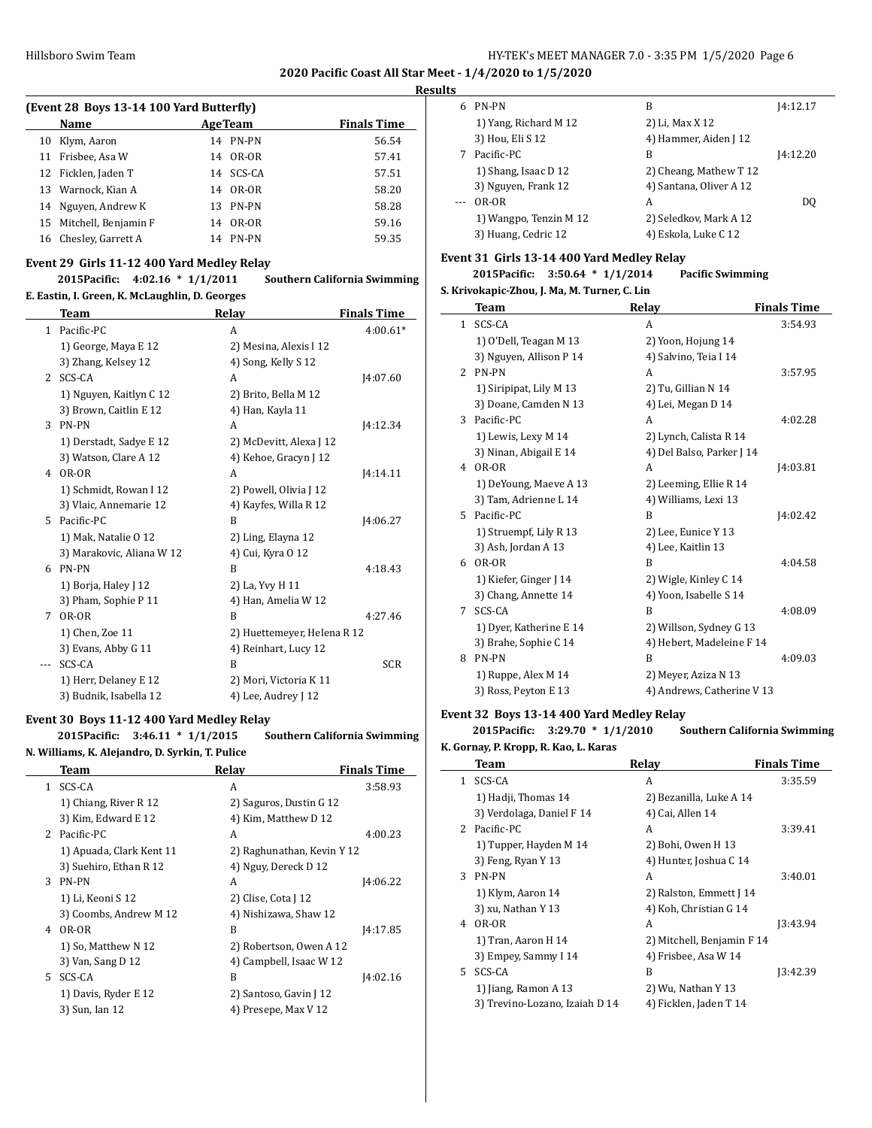#### **Results**

 $\sim$ 

| (Event 28 Boys 13-14 100 Yard Butterfly) |                         |    |                |                    |  |
|------------------------------------------|-------------------------|----|----------------|--------------------|--|
|                                          | Name                    |    | <b>AgeTeam</b> | <b>Finals Time</b> |  |
| 10                                       | Klym, Aaron             |    | 14 PN-PN       | 56.54              |  |
| 11                                       | Frisbee, Asa W          |    | 14 OR-OR       | 57.41              |  |
|                                          | 12 Ficklen, Jaden T     |    | 14 SCS-CA      | 57.51              |  |
|                                          | 13 Warnock, Kian A      |    | 14 OR-OR       | 58.20              |  |
|                                          | 14 Nguyen, Andrew K     | 13 | PN-PN          | 58.28              |  |
|                                          | 15 Mitchell, Benjamin F | 14 | OR-OR          | 59.16              |  |
|                                          | 16 Chesley, Garrett A   |    | 14 PN-PN       | 59.35              |  |

### **Event 29 Girls 11-12 400 Yard Medley Relay**

### **2015Pacific: 4:02.16 \* 1/1/2011 Southern California Swimming E. Eastin, I. Green, K. McLaughlin, D. Georges**

|    | Team                      | Relay                       | <b>Finals Time</b> |
|----|---------------------------|-----------------------------|--------------------|
| 1  | Pacific-PC                | A                           | $4:00.61*$         |
|    | 1) George, Maya E 12      | 2) Mesina, Alexis l 12      |                    |
|    | 3) Zhang, Kelsey 12       | 4) Song, Kelly S 12         |                    |
| 2  | SCS-CA                    | A                           | [4:07.60]          |
|    | 1) Nguyen, Kaitlyn C 12   | 2) Brito, Bella M 12        |                    |
|    | 3) Brown, Caitlin E 12    | 4) Han, Kayla 11            |                    |
| 3  | PN-PN                     | A                           | [4:12.34]          |
|    | 1) Derstadt, Sadye E 12   | 2) McDevitt, Alexa J 12     |                    |
|    | 3) Watson, Clare A 12     | 4) Kehoe, Gracyn J 12       |                    |
| 4  | OR-OR                     | A                           | [4:14.11]          |
|    | 1) Schmidt, Rowan I 12    | 2) Powell, Olivia J 12      |                    |
|    | 3) Vlaic, Annemarie 12    | 4) Kayfes, Willa R 12       |                    |
| 5. | Pacific-PC                | R                           | 14:06.27           |
|    | 1) Mak, Natalie 0 12      | 2) Ling, Elayna 12          |                    |
|    | 3) Marakovic, Aliana W 12 | 4) Cui, Kyra 0 12           |                    |
| 6  | <b>PN-PN</b>              | B                           | 4:18.43            |
|    | 1) Borja, Haley J 12      | 2) La, Yvy H 11             |                    |
|    | 3) Pham, Sophie P 11      | 4) Han, Amelia W 12         |                    |
| 7  | OR-OR                     | R                           | 4:27.46            |
|    | 1) Chen, Zoe 11           | 2) Huettemeyer, Helena R 12 |                    |
|    | 3) Evans, Abby G 11       | 4) Reinhart, Lucy 12        |                    |
|    | SCS-CA                    | B                           | <b>SCR</b>         |
|    | 1) Herr, Delaney E 12     | 2) Mori, Victoria K 11      |                    |
|    | 3) Budnik, Isabella 12    | 4) Lee, Audrey J 12         |                    |

### **Event 30 Boys 11-12 400 Yard Medley Relay**

**2015Pacific: 3:46.11 \* 1/1/2015 Southern California Swimming N. Williams, K. Alejandro, D. Syrkin, T. Pulice**

|                | Team                     | Relay                      | <b>Finals Time</b> |
|----------------|--------------------------|----------------------------|--------------------|
| 1.             | SCS-CA                   | A                          | 3:58.93            |
|                | 1) Chiang, River R 12    | 2) Saguros, Dustin G 12    |                    |
|                | 3) Kim, Edward E 12      | 4) Kim, Matthew D 12       |                    |
| $\overline{2}$ | Pacific-PC               | A                          | 4:00.23            |
|                | 1) Apuada, Clark Kent 11 | 2) Raghunathan, Kevin Y 12 |                    |
|                | 3) Suehiro, Ethan R 12   | 4) Nguy, Dereck D 12       |                    |
| 3              | <b>PN-PN</b>             | A                          | 14:06.22           |
|                | 1) Li, Keoni S 12        | 2) Clise, Cota J 12        |                    |
|                | 3) Coombs, Andrew M 12   | 4) Nishizawa, Shaw 12      |                    |
| 4              | OR-OR                    | B                          | 14:17.85           |
|                | 1) So, Matthew N 12      | 2) Robertson, Owen A 12    |                    |
|                | 3) Van, Sang D 12        | 4) Campbell, Isaac W 12    |                    |
| 5.             | SCS-CA                   | B                          | 14:02.16           |
|                | 1) Davis, Ryder E 12     | 2) Santoso, Gavin J 12     |                    |
|                | 3) Sun, Ian 12           | 4) Presepe, Max V 12       |                    |
|                |                          |                            |                    |

| 6 | PN-PN                  | В                       | 14:12.17 |
|---|------------------------|-------------------------|----------|
|   | 1) Yang, Richard M 12  | 2) Li, Max X 12         |          |
|   | 3) Hou, Eli S 12       | 4) Hammer, Aiden J 12   |          |
|   | Pacific-PC             | В                       | 14:12.20 |
|   | 1) Shang, Isaac D 12   | 2) Cheang, Mathew T 12  |          |
|   | 3) Nguyen, Frank 12    | 4) Santana, Oliver A 12 |          |
|   | OR-OR                  | A                       | DO.      |
|   | 1) Wangpo, Tenzin M 12 | 2) Seledkov, Mark A 12  |          |
|   | 3) Huang, Cedric 12    | 4) Eskola, Luke C 12    |          |

### **Event 31 Girls 13-14 400 Yard Medley Relay**

**2015Pacific: 3:50.64 \* 1/1/2014 Pacific Swimming**

#### **S. Krivokapic-Zhou, J. Ma, M. Turner, C. Lin**

|                | Team                    | Relay                      | <b>Finals Time</b> |
|----------------|-------------------------|----------------------------|--------------------|
| $\mathbf{1}$   | SCS-CA                  | A                          | 3:54.93            |
|                | 1) O'Dell, Teagan M 13  | 2) Yoon, Hojung 14         |                    |
|                | 3) Nguyen, Allison P 14 | 4) Salvino, Teia I 14      |                    |
| $\overline{2}$ | PN-PN                   | A                          | 3:57.95            |
|                | 1) Siripipat, Lily M 13 | 2) Tu, Gillian N 14        |                    |
|                | 3) Doane, Camden N 13   | 4) Lei, Megan D 14         |                    |
| 3              | Pacific-PC              | A                          | 4:02.28            |
|                | 1) Lewis, Lexy M 14     | 2) Lynch, Calista R 14     |                    |
|                | 3) Ninan, Abigail E 14  | 4) Del Balso, Parker J 14  |                    |
| 4              | OR-OR                   | A                          | 14:03.81           |
|                | 1) DeYoung, Maeve A 13  | 2) Leeming, Ellie R 14     |                    |
|                | 3) Tam, Adrienne L 14   | 4) Williams, Lexi 13       |                    |
| 5.             | Pacific-PC              | B                          | 14:02.42           |
|                | 1) Struempf, Lily R 13  | 2) Lee, Eunice Y 13        |                    |
|                | 3) Ash, Jordan A 13     | 4) Lee, Kaitlin 13         |                    |
| 6              | OR-OR                   | B                          | 4:04.58            |
|                | 1) Kiefer, Ginger J 14  | 2) Wigle, Kinley C 14      |                    |
|                | 3) Chang, Annette 14    | 4) Yoon, Isabelle S 14     |                    |
| 7              | SCS-CA                  | B                          | 4:08.09            |
|                | 1) Dyer, Katherine E 14 | 2) Willson, Sydney G 13    |                    |
|                | 3) Brahe, Sophie C 14   | 4) Hebert, Madeleine F 14  |                    |
| 8              | PN-PN                   | B                          | 4:09.03            |
|                | 1) Ruppe, Alex M 14     | 2) Meyer, Aziza N 13       |                    |
|                | 3) Ross, Peyton E 13    | 4) Andrews, Catherine V 13 |                    |

#### **Event 32 Boys 13-14 400 Yard Medley Relay**

### **2015Pacific: 3:29.70 \* 1/1/2010 Southern California Swimming**

|    | K. Gornay, P. Kropp, R. Kao, L. Karas |                            |                    |
|----|---------------------------------------|----------------------------|--------------------|
|    | Team                                  | Relay                      | <b>Finals Time</b> |
| 1. | SCS-CA                                | A                          | 3:35.59            |
|    | 1) Hadji, Thomas 14                   | 2) Bezanilla, Luke A 14    |                    |
|    | 3) Verdolaga, Daniel F 14             | 4) Cai, Allen 14           |                    |
|    | 2 Pacific-PC                          | A                          | 3:39.41            |
|    | 1) Tupper, Hayden M 14                | 2) Bohi, Owen H 13         |                    |
|    | 3) Feng, Ryan Y 13                    | 4) Hunter, Joshua C 14     |                    |
| 3  | PN-PN                                 | A                          | 3:40.01            |
|    | 1) Klym, Aaron 14                     | 2) Ralston, Emmett J 14    |                    |
|    | 3) xu, Nathan Y 13                    | 4) Koh, Christian G 14     |                    |
| 4  | OR-OR                                 | A                          | 13:43.94           |
|    | 1) Tran, Aaron H 14                   | 2) Mitchell, Benjamin F 14 |                    |
|    | 3) Empey, Sammy I 14                  | 4) Frisbee, Asa W 14       |                    |
| 5. | SCS-CA                                | B                          | 13:42.39           |
|    | 1) Jiang, Ramon A 13                  | 2) Wu, Nathan Y 13         |                    |
|    | 3) Trevino-Lozano, Izaiah D 14        | 4) Ficklen, Jaden T 14     |                    |
|    |                                       |                            |                    |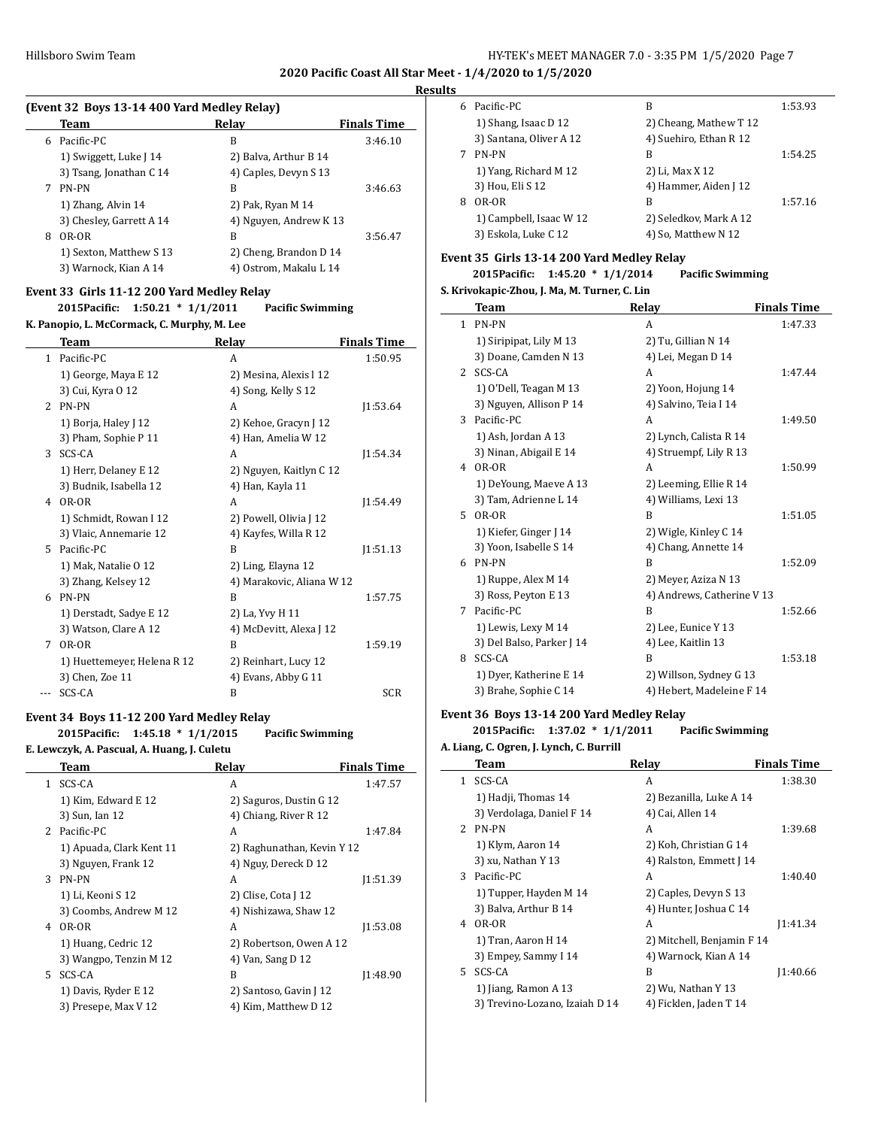#### **Results**

|   | (Event 32 Boys 13-14 400 Yard Medley Relay) |                        |                    |  |  |
|---|---------------------------------------------|------------------------|--------------------|--|--|
|   | Team                                        | Relay                  | <b>Finals Time</b> |  |  |
| 6 | Pacific-PC                                  | B                      | 3:46.10            |  |  |
|   | 1) Swiggett, Luke J 14                      | 2) Balva, Arthur B 14  |                    |  |  |
|   | 3) Tsang, Jonathan C 14                     | 4) Caples, Devyn S 13  |                    |  |  |
| 7 | PN-PN                                       | B                      | 3:46.63            |  |  |
|   | 1) Zhang, Alvin 14                          | 2) Pak, Ryan M 14      |                    |  |  |
|   | 3) Chesley, Garrett A 14                    | 4) Nguyen, Andrew K 13 |                    |  |  |
| 8 | OR-OR                                       | B                      | 3:56.47            |  |  |
|   | 1) Sexton, Matthew S 13                     | 2) Cheng, Brandon D 14 |                    |  |  |
|   | 3) Warnock, Kian A 14                       | 4) Ostrom, Makalu L 14 |                    |  |  |

### **Event 33 Girls 11-12 200 Yard Medley Relay**

|               | $1:50.21 * 1/1/2011$<br>2015Pacific:        | <b>Pacific Swimming</b>   |                    |  |  |  |
|---------------|---------------------------------------------|---------------------------|--------------------|--|--|--|
|               | K. Panopio, L. McCormack, C. Murphy, M. Lee |                           |                    |  |  |  |
|               | Team                                        | Relay                     | <b>Finals Time</b> |  |  |  |
| 1             | Pacific-PC                                  | A                         | 1:50.95            |  |  |  |
|               | 1) George, Maya E 12                        | 2) Mesina, Alexis l 12    |                    |  |  |  |
|               | 3) Cui, Kyra 0 12                           | 4) Song, Kelly S 12       |                    |  |  |  |
| $\mathcal{L}$ | PN-PN                                       | A                         | 1:53.64            |  |  |  |
|               | 1) Borja, Haley J 12                        | 2) Kehoe, Gracyn J 12     |                    |  |  |  |
|               | 3) Pham, Sophie P 11                        | 4) Han, Amelia W 12       |                    |  |  |  |
| 3             | SCS-CA                                      | A                         | 1:54.34            |  |  |  |
|               | 1) Herr, Delaney E 12                       | 2) Nguyen, Kaitlyn C 12   |                    |  |  |  |
|               | 3) Budnik, Isabella 12                      | 4) Han, Kayla 11          |                    |  |  |  |
| 4             | OR-OR                                       | A                         | 11:54.49           |  |  |  |
|               | 1) Schmidt, Rowan I 12                      | 2) Powell, Olivia J 12    |                    |  |  |  |
|               | 3) Vlaic, Annemarie 12                      | 4) Kayfes, Willa R 12     |                    |  |  |  |
| 5.            | Pacific-PC                                  | B                         | [1:51.13]          |  |  |  |
|               | 1) Mak, Natalie O 12                        | 2) Ling, Elayna 12        |                    |  |  |  |
|               | 3) Zhang, Kelsey 12                         | 4) Marakovic, Aliana W 12 |                    |  |  |  |
| 6             | PN-PN                                       | B                         | 1:57.75            |  |  |  |
|               | 1) Derstadt, Sadye E 12                     | 2) La, Yvy H 11           |                    |  |  |  |
|               | 3) Watson, Clare A 12                       | 4) McDevitt, Alexa J 12   |                    |  |  |  |
| 7             | OR-OR                                       | B                         | 1:59.19            |  |  |  |
|               | 1) Huettemeyer, Helena R 12                 | 2) Reinhart, Lucy 12      |                    |  |  |  |
|               | 3) Chen, Zoe 11                             | 4) Evans, Abby G 11       |                    |  |  |  |
|               | SCS-CA                                      | B                         | <b>SCR</b>         |  |  |  |

#### **Event 34 Boys 11-12 200 Yard Medley Relay**

### **2015Pacific: 1:45.18 \* 1/1/2015 Pacific Swimming E. Lewczyk, A. Pascual, A. Huang, J. Culetu**

|              | Team                     | Relay                      | <b>Finals Time</b> |
|--------------|--------------------------|----------------------------|--------------------|
| $\mathbf{1}$ | SCS-CA                   | A                          | 1:47.57            |
|              | 1) Kim, Edward E 12      | 2) Saguros, Dustin G 12    |                    |
|              | 3) Sun, Ian 12           | 4) Chiang, River R 12      |                    |
|              | 2 Pacific-PC             | A                          | 1:47.84            |
|              | 1) Apuada, Clark Kent 11 | 2) Raghunathan, Kevin Y 12 |                    |
|              | 3) Nguyen, Frank 12      | 4) Nguy, Dereck D 12       |                    |
| 3            | PN-PN                    | A                          | 11:51.39           |
|              | 1) Li, Keoni S 12        | 2) Clise, Cota J 12        |                    |
|              | 3) Coombs, Andrew M 12   | 4) Nishizawa, Shaw 12      |                    |
| 4            | OR-OR                    | A                          | 11:53.08           |
|              | 1) Huang, Cedric 12      | 2) Robertson, Owen A 12    |                    |
|              | 3) Wangpo, Tenzin M 12   | 4) Van, Sang D 12          |                    |
| 5.           | SCS-CA                   | B                          | [1:48.90           |
|              | 1) Davis, Ryder E 12     | 2) Santoso, Gavin J 12     |                    |
|              | 3) Presepe, Max V 12     | 4) Kim, Matthew D 12       |                    |
|              |                          |                            |                    |

| 6 | Pacific-PC              | В                      | 1:53.93 |
|---|-------------------------|------------------------|---------|
|   | 1) Shang, Isaac D 12    | 2) Cheang, Mathew T 12 |         |
|   | 3) Santana, Oliver A 12 | 4) Suehiro, Ethan R 12 |         |
|   | PN-PN                   | В                      | 1:54.25 |
|   | 1) Yang, Richard M 12   | 2) Li, Max X 12        |         |
|   | 3) Hou, Eli S 12        | 4) Hammer, Aiden J 12  |         |
| 8 | OR-OR                   | B                      | 1:57.16 |
|   | 1) Campbell, Isaac W 12 | 2) Seledkov, Mark A 12 |         |
|   | 3) Eskola, Luke C 12    | 4) So, Matthew N 12    |         |

### **Event 35 Girls 13-14 200 Yard Medley Relay**

#### **2015Pacific: 1:45.20 \* 1/1/2014 Pacific Swimming**

### **S. Krivokapic-Zhou, J. Ma, M. Turner, C. Lin**

|    | Team                      | Relay                      | <b>Finals Time</b> |
|----|---------------------------|----------------------------|--------------------|
|    | 1 PN-PN                   | A                          | 1:47.33            |
|    | 1) Siripipat, Lily M 13   | 2) Tu, Gillian N 14        |                    |
|    | 3) Doane, Camden N 13     | 4) Lei, Megan D 14         |                    |
| 2  | SCS-CA                    | A                          | 1:47.44            |
|    | 1) O'Dell, Teagan M 13    | 2) Yoon, Hojung 14         |                    |
|    | 3) Nguyen, Allison P 14   | 4) Salvino, Teia I 14      |                    |
| 3  | Pacific-PC                | A                          | 1:49.50            |
|    | 1) Ash, Jordan A 13       | 2) Lynch, Calista R 14     |                    |
|    | 3) Ninan, Abigail E 14    | 4) Struempf, Lily R 13     |                    |
| 4  | OR-OR                     | A                          | 1:50.99            |
|    | 1) DeYoung, Maeve A 13    | 2) Leeming, Ellie R 14     |                    |
|    | 3) Tam, Adrienne L 14     | 4) Williams, Lexi 13       |                    |
| 5. | OR-OR                     | B                          | 1:51.05            |
|    | 1) Kiefer, Ginger J 14    | 2) Wigle, Kinley C 14      |                    |
|    | 3) Yoon, Isabelle S 14    | 4) Chang, Annette 14       |                    |
| 6  | PN-PN                     | B                          | 1:52.09            |
|    | 1) Ruppe, Alex M 14       | 2) Meyer, Aziza N 13       |                    |
|    | 3) Ross, Peyton E 13      | 4) Andrews, Catherine V 13 |                    |
| 7  | Pacific-PC                | B                          | 1:52.66            |
|    | 1) Lewis, Lexy M 14       | 2) Lee, Eunice Y 13        |                    |
|    | 3) Del Balso, Parker J 14 | 4) Lee, Kaitlin 13         |                    |
| 8  | SCS-CA                    | B                          | 1:53.18            |
|    | 1) Dyer, Katherine E 14   | 2) Willson, Sydney G 13    |                    |
|    | 3) Brahe, Sophie C 14     | 4) Hebert, Madeleine F 14  |                    |

#### **Event 36 Boys 13-14 200 Yard Medley Relay**

#### **2015Pacific: 1:37.02 \* 1/1/2011 Pacific Swimming**

#### **A. Liang, C. Ogren, J. Lynch, C. Burrill**

|                | Team                           | Relay                      | <b>Finals Time</b> |
|----------------|--------------------------------|----------------------------|--------------------|
| 1              | SCS-CA                         | A                          | 1:38.30            |
|                | 1) Hadji, Thomas 14            | 2) Bezanilla, Luke A 14    |                    |
|                | 3) Verdolaga, Daniel F 14      | 4) Cai, Allen 14           |                    |
| $\overline{2}$ | PN-PN                          | A                          | 1:39.68            |
|                | 1) Klym, Aaron 14              | 2) Koh, Christian G 14     |                    |
|                | 3) xu, Nathan Y 13             | 4) Ralston, Emmett J 14    |                    |
| 3              | Pacific-PC                     | A                          | 1:40.40            |
|                | 1) Tupper, Hayden M 14         | 2) Caples, Devyn S 13      |                    |
|                | 3) Balva, Arthur B 14          | 4) Hunter, Joshua C 14     |                    |
| 4              | OR-OR                          | A                          | 11:41.34           |
|                | 1) Tran, Aaron H 14            | 2) Mitchell, Benjamin F 14 |                    |
|                | 3) Empey, Sammy I 14           | 4) Warnock, Kian A 14      |                    |
| 5.             | SCS-CA                         | R                          | 1:40.66            |
|                | 1) Jiang, Ramon A 13           | 2) Wu, Nathan Y 13         |                    |
|                | 3) Trevino-Lozano, Izaiah D 14 | 4) Ficklen, Jaden T 14     |                    |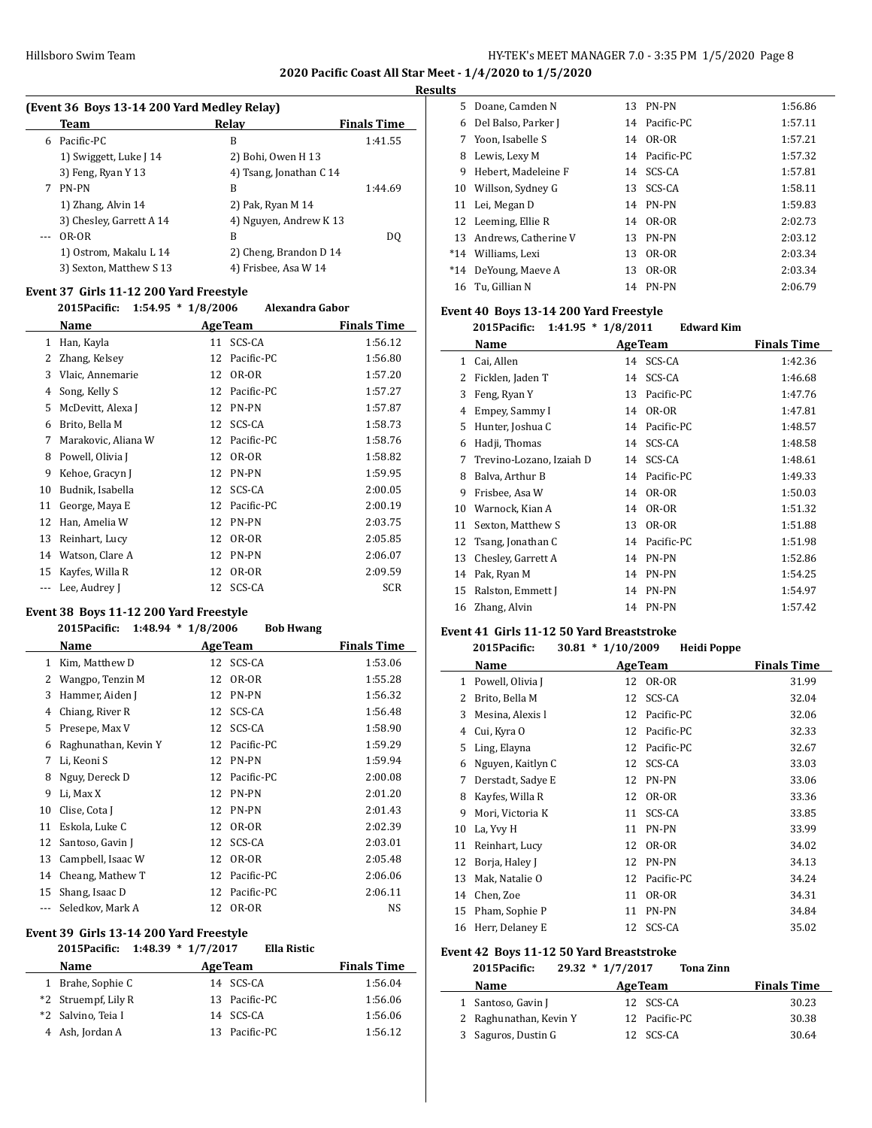### **Results**

|   | (Event 36 Boys 13-14 200 Yard Medley Relay) |                         |                    |  |  |  |
|---|---------------------------------------------|-------------------------|--------------------|--|--|--|
|   | Team                                        | Relay                   | <b>Finals Time</b> |  |  |  |
| 6 | Pacific-PC                                  | В                       | 1:41.55            |  |  |  |
|   | 1) Swiggett, Luke J 14                      | 2) Bohi, Owen H 13      |                    |  |  |  |
|   | 3) Feng, Ryan Y 13                          | 4) Tsang, Jonathan C 14 |                    |  |  |  |
|   | PN-PN                                       | В                       | 1:44.69            |  |  |  |
|   | 1) Zhang, Alvin 14                          | 2) Pak, Ryan M 14       |                    |  |  |  |
|   | 3) Chesley, Garrett A 14                    | 4) Nguyen, Andrew K 13  |                    |  |  |  |
|   | OR-OR                                       | B                       | DO.                |  |  |  |
|   | 1) Ostrom, Makalu L 14                      | 2) Cheng, Brandon D 14  |                    |  |  |  |
|   | 3) Sexton, Matthew S 13                     | 4) Frisbee, Asa W 14    |                    |  |  |  |

### **Event 37 Girls 11-12 200 Yard Freestyle**

| 2015Pacific:        |    | Alexandra Gabor |                                                                        |
|---------------------|----|-----------------|------------------------------------------------------------------------|
| Name                |    |                 | Finals Time                                                            |
| Han, Kayla          |    | SCS-CA          | 1:56.12                                                                |
| Zhang, Kelsey       | 12 | Pacific-PC      | 1:56.80                                                                |
| Vlaic, Annemarie    | 12 | OR-OR           | 1:57.20                                                                |
| Song, Kelly S       | 12 | Pacific-PC      | 1:57.27                                                                |
| McDevitt, Alexa J   | 12 | PN-PN           | 1:57.87                                                                |
| Brito, Bella M      | 12 | SCS-CA          | 1:58.73                                                                |
| Marakovic, Aliana W | 12 | Pacific-PC      | 1:58.76                                                                |
| Powell, Olivia J    | 12 | OR-OR           | 1:58.82                                                                |
| Kehoe, Gracyn J     | 12 | PN-PN           | 1:59.95                                                                |
| Budnik, Isabella    |    |                 | 2:00.05                                                                |
| George, Maya E      | 12 | Pacific-PC      | 2:00.19                                                                |
| Han, Amelia W       | 12 | <b>PN-PN</b>    | 2:03.75                                                                |
| Reinhart, Lucy      | 12 | OR-OR           | 2:05.85                                                                |
| Watson, Clare A     | 12 | PN-PN           | 2:06.07                                                                |
| Kayfes, Willa R     | 12 | OR-OR           | 2:09.59                                                                |
| Lee, Audrey J       |    |                 | <b>SCR</b>                                                             |
|                     |    |                 | $1:54.95 * 1/8/2006$<br><b>AgeTeam</b><br>11<br>12 SCS-CA<br>12 SCS-CA |

### **Event 38 Boys 11-12 200 Yard Freestyle**

 $\overline{\phantom{0}}$ 

### **2015Pacific: 1:48.94 \* 1/8/2006 Bob Hwang**

|    | Name                 |    | <b>AgeTeam</b> | <b>Finals Time</b> |
|----|----------------------|----|----------------|--------------------|
| 1  | Kim, Matthew D       |    | 12 SCS-CA      | 1:53.06            |
| 2  | Wangpo, Tenzin M     | 12 | OR-OR          | 1:55.28            |
| 3  | Hammer, Aiden J      | 12 | PN-PN          | 1:56.32            |
| 4  | Chiang, River R      | 12 | SCS-CA         | 1:56.48            |
| 5  | Presepe, Max V       | 12 | SCS-CA         | 1:58.90            |
| 6  | Raghunathan, Kevin Y | 12 | Pacific-PC     | 1:59.29            |
| 7  | Li, Keoni S          | 12 | PN-PN          | 1:59.94            |
| 8  | Nguy, Dereck D       | 12 | Pacific-PC     | 2:00.08            |
| 9  | Li, Max X            | 12 | PN-PN          | 2:01.20            |
| 10 | Clise, Cota J        | 12 | PN-PN          | 2:01.43            |
| 11 | Eskola, Luke C       | 12 | OR-OR          | 2:02.39            |
| 12 | Santoso, Gavin J     | 12 | SCS-CA         | 2:03.01            |
| 13 | Campbell, Isaac W    | 12 | OR-OR          | 2:05.48            |
| 14 | Cheang, Mathew T     | 12 | Pacific-PC     | 2:06.06            |
| 15 | Shang, Isaac D       | 12 | Pacific-PC     | 2:06.11            |
|    | Seledkov, Mark A     | 12 | OR-OR          | NS                 |

### **Event 39 Girls 13-14 200 Yard Freestyle**

| 2015 Pacific: 1:48.39 * 1/7/2017 | <b>Ella Ristic</b> |                    |
|----------------------------------|--------------------|--------------------|
| <b>Name</b>                      | <b>Age Team</b>    | <b>Finals Time</b> |
| 1 Brahe, Sophie C                | 14 SCS-CA          | 1:56.04            |
| *2 Struempf, Lily R              | 13 Pacific-PC      | 1:56.06            |
| *2 Salvino, Teia I               | 14 SCS-CA          | 1:56.06            |
| 4 Ash, Jordan A                  | 13 Pacific-PC      | 1:56.12            |

|    | 5 Doane. Camden N       | 13 PN-PN      | 1:56.86 |
|----|-------------------------|---------------|---------|
| 6  | Del Balso, Parker J     | 14 Pacific-PC | 1:57.11 |
|    | 7 Yoon. Isabelle S      | 14 OR-OR      | 1:57.21 |
| 8  | Lewis, Lexy M           | 14 Pacific-PC | 1:57.32 |
| 9  | Hebert, Madeleine F     | 14 SCS-CA     | 1:57.81 |
|    | 10 Willson, Sydney G    | 13 SCS-CA     | 1:58.11 |
|    | 11 Lei, Megan D         | 14 PN-PN      | 1:59.83 |
|    | 12 Leeming, Ellie R     | 14 OR-OR      | 2:02.73 |
|    | 13 Andrews, Catherine V | 13 PN-PN      | 2:03.12 |
|    | *14 Williams, Lexi      | 13 OR-OR      | 2:03.34 |
|    | *14 DeYoung, Maeve A    | 13 OR-OR      | 2:03.34 |
| 16 | - Tu. Gillian N         | 14 PN-PN      | 2:06.79 |

### **Event 40 Boys 13-14 200 Yard Freestyle**

### **2015Pacific: 1:41.95 \* 1/8/2011 Edward Kim**

|    | Name                     |    | <b>AgeTeam</b> | <b>Finals Time</b> |
|----|--------------------------|----|----------------|--------------------|
| 1  | Cai, Allen               |    | 14 SCS-CA      | 1:42.36            |
| 2  | Ficklen, Jaden T         | 14 | SCS-CA         | 1:46.68            |
| 3  | Feng, Ryan Y             | 13 | Pacific-PC     | 1:47.76            |
| 4  | Empey, Sammy I           | 14 | OR-OR          | 1:47.81            |
| 5  | Hunter, Joshua C         | 14 | Pacific-PC     | 1:48.57            |
| 6  | Hadji, Thomas            | 14 | SCS-CA         | 1:48.58            |
| 7  | Trevino-Lozano, Izaiah D | 14 | SCS-CA         | 1:48.61            |
| 8  | Balva, Arthur B          | 14 | Pacific-PC     | 1:49.33            |
| 9  | Frisbee, Asa W           | 14 | OR-OR          | 1:50.03            |
| 10 | Warnock, Kian A          | 14 | OR-OR          | 1:51.32            |
| 11 | Sexton, Matthew S        | 13 | OR-OR          | 1:51.88            |
| 12 | Tsang, Jonathan C        | 14 | Pacific-PC     | 1:51.98            |
| 13 | Chesley, Garrett A       | 14 | PN-PN          | 1:52.86            |
| 14 | Pak, Ryan M              | 14 | PN-PN          | 1:54.25            |
| 15 | Ralston, Emmett J        | 14 | PN-PN          | 1:54.97            |
| 16 | Zhang, Alvin             | 14 | PN-PN          | 1:57.42            |
|    |                          |    |                |                    |

#### **Event 41 Girls 11-12 50 Yard Breaststroke**

| 2015Pacific: |  | $30.81 * 1/10/2009$ | Heidi Poppe |  |
|--------------|--|---------------------|-------------|--|
|              |  |                     |             |  |

|    | Name              |    | <b>AgeTeam</b> | <b>Finals Time</b> |
|----|-------------------|----|----------------|--------------------|
| 1  | Powell, Olivia J  | 12 | OR-OR          | 31.99              |
| 2  | Brito, Bella M    | 12 | SCS-CA         | 32.04              |
| 3  | Mesina, Alexis l  | 12 | Pacific-PC     | 32.06              |
| 4  | Cui, Kyra O       | 12 | Pacific-PC     | 32.33              |
| 5  | Ling, Elayna      | 12 | Pacific-PC     | 32.67              |
| 6  | Nguyen, Kaitlyn C | 12 | SCS-CA         | 33.03              |
| 7  | Derstadt, Sadye E | 12 | PN-PN          | 33.06              |
| 8  | Kayfes, Willa R   | 12 | OR-OR          | 33.36              |
| 9  | Mori, Victoria K  | 11 | SCS-CA         | 33.85              |
| 10 | La, Yvy H         | 11 | PN-PN          | 33.99              |
| 11 | Reinhart, Lucy    | 12 | OR-OR          | 34.02              |
| 12 | Borja, Haley J    | 12 | PN-PN          | 34.13              |
| 13 | Mak, Natalie O    | 12 | Pacific-PC     | 34.24              |
| 14 | Chen, Zoe         | 11 | OR-OR          | 34.31              |
| 15 | Pham, Sophie P    | 11 | <b>PN-PN</b>   | 34.84              |
| 16 | Herr, Delaney E   | 12 | SCS-CA         | 35.02              |

#### **Event 42 Boys 11-12 50 Yard Breaststroke**

 $\overline{a}$ 

### **2015Pacific: 29.32 \* 1/7/2017 Tona Zinn**

| Name                   | <b>AgeTeam</b> | <b>Finals Time</b> |
|------------------------|----------------|--------------------|
| 1 Santoso, Gavin J     | 12 SCS-CA      | 30.23              |
| 2 Raghunathan, Kevin Y | 12 Pacific-PC  | 30.38              |
| 3 Saguros, Dustin G    | 12 SCS-CA      | 30.64              |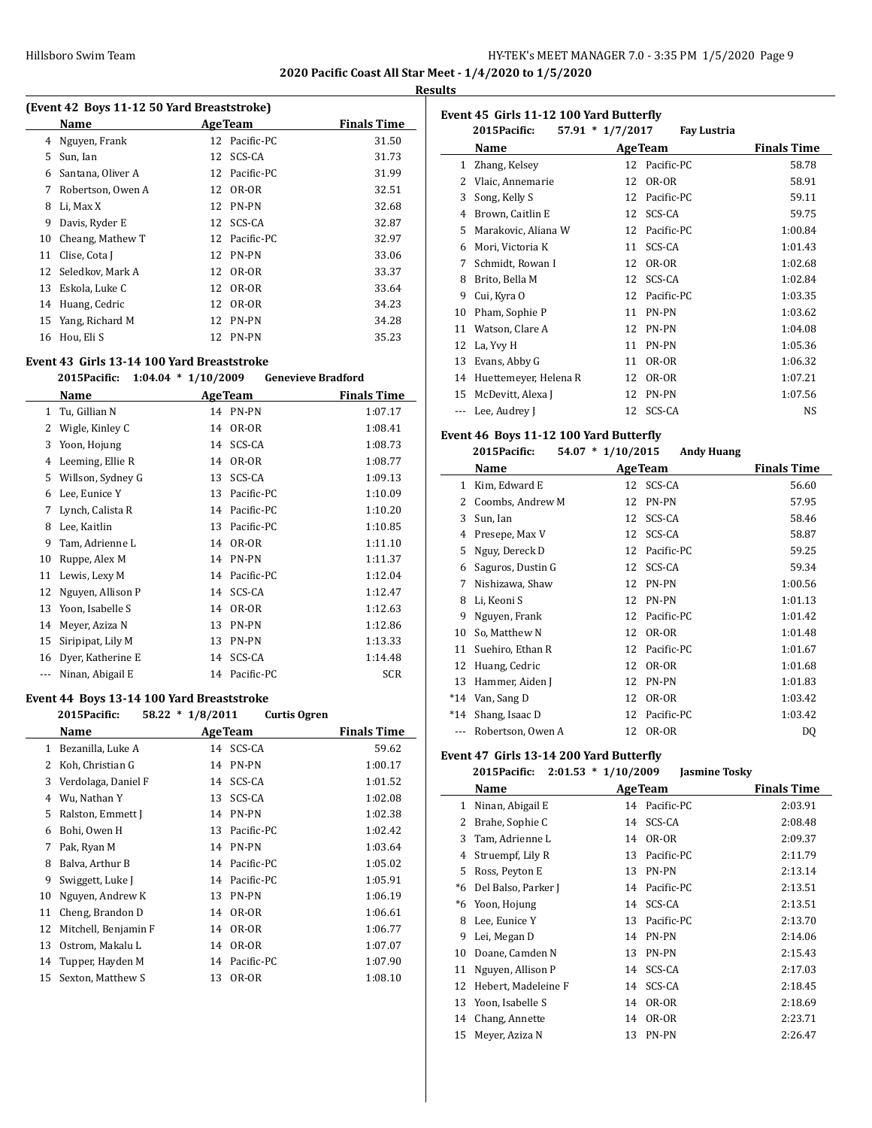$\overline{a}$ 

#### **Results**

|                               | (Event 42 Boys 11-12 50 Yard Breaststroke)     |
|-------------------------------|------------------------------------------------|
| $\mathbf{M}$ and $\mathbf{A}$ | $\mathbf{A}$ and $\mathbf{B}$ and $\mathbf{B}$ |

|    | Name              |    | <b>AgeTeam</b> | <b>Finals Time</b> |
|----|-------------------|----|----------------|--------------------|
| 4  | Nguyen, Frank     |    | 12 Pacific-PC  | 31.50              |
| 5. | Sun, Ian          | 12 | SCS-CA         | 31.73              |
| 6  | Santana, Oliver A |    | 12 Pacific-PC  | 31.99              |
| 7  | Robertson, Owen A |    | 12 OR-OR       | 32.51              |
| 8  | Li, Max X         |    | 12 PN-PN       | 32.68              |
| 9  | Davis, Ryder E    | 12 | SCS-CA         | 32.87              |
| 10 | Cheang, Mathew T  |    | 12 Pacific-PC  | 32.97              |
| 11 | Clise, Cota J     |    | 12 PN-PN       | 33.06              |
| 12 | Seledkov, Mark A  | 12 | OR-OR          | 33.37              |
| 13 | Eskola, Luke C    |    | 12 OR-OR       | 33.64              |
| 14 | Huang, Cedric     | 12 | OR-OR          | 34.23              |
| 15 | Yang, Richard M   | 12 | PN-PN          | 34.28              |
| 16 | Hou. Eli S        |    | 12 PN-PN       | 35.23              |
|    |                   |    |                |                    |

### **Event 43 Girls 13-14 100 Yard Breaststroke**

### **2015Pacific: 1:04.04 \* 1/10/2009 Genevieve Bradford**

|              | Name              |    | <b>Age Team</b> | <b>Finals Time</b> |
|--------------|-------------------|----|-----------------|--------------------|
| $\mathbf{1}$ | Tu, Gillian N     | 14 | PN-PN           | 1:07.17            |
| 2            | Wigle, Kinley C   | 14 | OR-OR           | 1:08.41            |
| 3            | Yoon, Hojung      | 14 | SCS-CA          | 1:08.73            |
| 4            | Leeming, Ellie R  | 14 | OR-OR           | 1:08.77            |
| 5            | Willson, Sydney G | 13 | SCS-CA          | 1:09.13            |
| 6            | Lee, Eunice Y     | 13 | Pacific-PC      | 1:10.09            |
| 7            | Lynch, Calista R  | 14 | Pacific-PC      | 1:10.20            |
| 8            | Lee, Kaitlin      | 13 | Pacific-PC      | 1:10.85            |
| 9            | Tam, Adrienne L   | 14 | OR-OR           | 1:11.10            |
| 10           | Ruppe, Alex M     | 14 | PN-PN           | 1:11.37            |
| 11           | Lewis, Lexy M     | 14 | Pacific-PC      | 1:12.04            |
| 12           | Nguyen, Allison P | 14 | SCS-CA          | 1:12.47            |
| 13           | Yoon, Isabelle S  | 14 | OR-OR           | 1:12.63            |
| 14           | Meyer, Aziza N    | 13 | PN-PN           | 1:12.86            |
| 15           | Siripipat, Lily M | 13 | PN-PN           | 1:13.33            |
| 16           | Dyer, Katherine E | 14 | SCS-CA          | 1:14.48            |
|              | Ninan, Abigail E  | 14 | Pacific-PC      | <b>SCR</b>         |

### **Event 44 Boys 13-14 100 Yard Breaststroke**

|              | 2015Pacific:         | $58.22 * 1/8/2011$ |                | <b>Curtis Ogren</b> |                    |  |
|--------------|----------------------|--------------------|----------------|---------------------|--------------------|--|
|              | Name                 |                    | <b>AgeTeam</b> |                     | <b>Finals Time</b> |  |
| $\mathbf{1}$ | Bezanilla, Luke A    |                    | 14 SCS-CA      |                     | 59.62              |  |
| 2            | Koh, Christian G     | 14                 | PN-PN          |                     | 1:00.17            |  |
| 3            | Verdolaga, Daniel F  | 14                 | SCS-CA         |                     | 1:01.52            |  |
| 4            | Wu, Nathan Y         | 13                 | SCS-CA         |                     | 1:02.08            |  |
| 5            | Ralston, Emmett J    | 14                 | PN-PN          |                     | 1:02.38            |  |
| 6            | Bohi, Owen H         | 13                 | Pacific-PC     |                     | 1:02.42            |  |
| 7            | Pak, Ryan M          | 14                 | PN-PN          |                     | 1:03.64            |  |
| 8            | Balva, Arthur B      |                    | 14 Pacific-PC  |                     | 1:05.02            |  |
| 9            | Swiggett, Luke J     |                    | 14 Pacific-PC  |                     | 1:05.91            |  |
| 10           | Nguyen, Andrew K     | 13                 | <b>PN-PN</b>   |                     | 1:06.19            |  |
| 11           | Cheng, Brandon D     | 14                 | OR-OR          |                     | 1:06.61            |  |
| 12           | Mitchell, Benjamin F | 14                 | OR-OR          |                     | 1:06.77            |  |
| 13           | Ostrom, Makalu L     | 14                 | OR-OR          |                     | 1:07.07            |  |
| 14           | Tupper, Hayden M     |                    | 14 Pacific-PC  |                     | 1:07.90            |  |
| 15           | Sexton, Matthew S    | 13                 | OR-OR          |                     | 1:08.10            |  |
|              |                      |                    |                |                     |                    |  |

| Event 45 Girls 11-12 100 Yard Butterfly |                       |                    |                    |                    |  |
|-----------------------------------------|-----------------------|--------------------|--------------------|--------------------|--|
|                                         | 2015Pacific:          | $57.91 * 1/7/2017$ | <b>Fay Lustria</b> |                    |  |
|                                         | Name                  |                    | <b>AgeTeam</b>     | <b>Finals Time</b> |  |
| $\mathbf{1}$                            | Zhang, Kelsey         | 12                 | Pacific-PC         | 58.78              |  |
| 2                                       | Vlaic, Annemarie      | 12                 | OR-OR              | 58.91              |  |
| 3                                       | Song, Kelly S         | 12                 | Pacific-PC         | 59.11              |  |
| 4                                       | Brown, Caitlin E      | 12                 | SCS-CA             | 59.75              |  |
| 5                                       | Marakovic, Aliana W   | 12                 | Pacific-PC         | 1:00.84            |  |
| 6                                       | Mori, Victoria K      | 11                 | SCS-CA             | 1:01.43            |  |
| 7                                       | Schmidt, Rowan I      | 12                 | OR-OR              | 1:02.68            |  |
| 8                                       | Brito, Bella M        | 12                 | SCS-CA             | 1:02.84            |  |
| 9                                       | Cui, Kyra O           | 12                 | Pacific-PC         | 1:03.35            |  |
| 10                                      | Pham, Sophie P        | 11                 | PN-PN              | 1:03.62            |  |
| 11                                      | Watson, Clare A       | 12                 | PN-PN              | 1:04.08            |  |
| 12                                      | La, Yvy H             | 11                 | PN-PN              | 1:05.36            |  |
| 13                                      | Evans, Abby G         | 11                 | OR-OR              | 1:06.32            |  |
| 14                                      | Huettemeyer, Helena R | 12                 | OR-OR              | 1:07.21            |  |
| 15                                      | McDevitt, Alexa J     | 12                 | <b>PN-PN</b>       | 1:07.56            |  |
| ---                                     | Lee, Audrey J         | 12                 | SCS-CA             | <b>NS</b>          |  |
|                                         |                       |                    |                    |                    |  |

### **Event 46 Boys 11-12 100 Yard Butterfly**

|       | 2015Pacific:      | $54.07 * 1/10/2015$<br><b>Andy Huang</b> |                    |
|-------|-------------------|------------------------------------------|--------------------|
|       | Name              | <b>AgeTeam</b>                           | <b>Finals Time</b> |
| 1     | Kim, Edward E     | SCS-CA<br>12                             | 56.60              |
| 2     | Coombs, Andrew M  | PN-PN<br>12                              | 57.95              |
| 3     | Sun, Ian          | SCS-CA<br>12                             | 58.46              |
| 4     | Presepe, Max V    | SCS-CA<br>12                             | 58.87              |
| 5     | Nguy, Dereck D    | Pacific-PC<br>12                         | 59.25              |
| 6     | Saguros, Dustin G | SCS-CA<br>12                             | 59.34              |
| 7     | Nishizawa, Shaw   | PN-PN<br>12                              | 1:00.56            |
| 8     | Li, Keoni S       | <b>PN-PN</b><br>12                       | 1:01.13            |
| 9     | Nguyen, Frank     | Pacific-PC<br>12                         | 1:01.42            |
| 10    | So, Matthew N     | OR-OR<br>12                              | 1:01.48            |
| 11    | Suehiro, Ethan R  | Pacific-PC<br>12                         | 1:01.67            |
| 12    | Huang, Cedric     | OR-OR<br>12                              | 1:01.68            |
| 13    | Hammer, Aiden J   | <b>PN-PN</b><br>12                       | 1:01.83            |
| $*14$ | Van, Sang D       | OR-OR<br>12                              | 1:03.42            |
| $*14$ | Shang, Isaac D    | Pacific-PC<br>12                         | 1:03.42            |
| ---   | Robertson, Owen A | OR-OR<br>12                              | DQ                 |

#### **Event 47 Girls 13-14 200 Yard Butterfly**

#### **2015Pacific: 2:01.53 \* 1/10/2009 Jasmine Tosky**

|    | Name                |    | <b>AgeTeam</b> | <b>Finals Time</b> |
|----|---------------------|----|----------------|--------------------|
| 1  | Ninan, Abigail E    |    | 14 Pacific-PC  | 2:03.91            |
| 2  | Brahe, Sophie C     | 14 | SCS-CA         | 2:08.48            |
| 3  | Tam, Adrienne L     | 14 | OR-OR          | 2:09.37            |
| 4  | Struempf, Lily R    | 13 | Pacific-PC     | 2:11.79            |
| 5. | Ross, Peyton E      | 13 | PN-PN          | 2:13.14            |
| *6 | Del Balso, Parker J | 14 | Pacific-PC     | 2:13.51            |
| *6 | Yoon, Hojung        | 14 | SCS-CA         | 2:13.51            |
| 8  | Lee, Eunice Y       | 13 | Pacific-PC     | 2:13.70            |
| 9  | Lei, Megan D        | 14 | <b>PN-PN</b>   | 2:14.06            |
| 10 | Doane, Camden N     | 13 | PN-PN          | 2:15.43            |
| 11 | Nguyen, Allison P   | 14 | SCS-CA         | 2:17.03            |
| 12 | Hebert, Madeleine F | 14 | SCS-CA         | 2:18.45            |
| 13 | Yoon, Isabelle S    | 14 | OR-OR          | 2:18.69            |
| 14 | Chang, Annette      | 14 | OR-OR          | 2:23.71            |
| 15 | Meyer, Aziza N      | 13 | <b>PN-PN</b>   | 2:26.47            |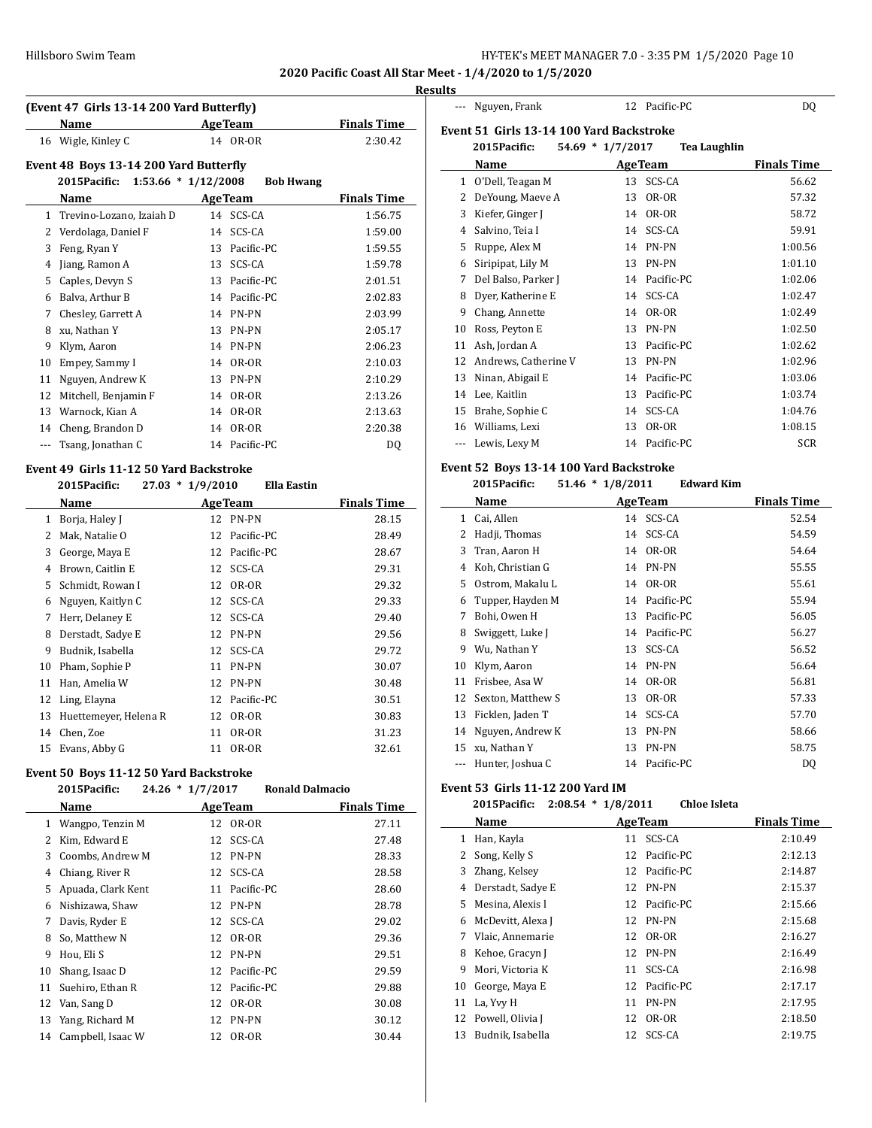--- Nguyen, Frank 12 Pacific-PC DO

**2020 Pacific Coast All Star Meet - 1/4/2020 to 1/5/2020**

### **Results**

|              | (Event 47 Girls 13-14 200 Yard Butterfly) |                                           |                    |  |  |  |
|--------------|-------------------------------------------|-------------------------------------------|--------------------|--|--|--|
|              | Name                                      | <b>AgeTeam</b>                            | <b>Finals Time</b> |  |  |  |
|              | 16 Wigle, Kinley C                        | OR-OR<br>14                               | 2:30.42            |  |  |  |
|              | Event 48 Boys 13-14 200 Yard Butterfly    |                                           |                    |  |  |  |
|              | 2015Pacific:                              | $1:53.66 * 1/12/2008$<br><b>Bob Hwang</b> |                    |  |  |  |
|              | Name                                      | <b>AgeTeam</b>                            | <b>Finals Time</b> |  |  |  |
| $\mathbf{1}$ | Trevino-Lozano, Izaiah D                  | 14 SCS-CA                                 | 1:56.75            |  |  |  |
| 2            | Verdolaga, Daniel F                       | SCS-CA<br>14                              | 1:59.00            |  |  |  |
| 3            | Feng, Ryan Y                              | Pacific-PC<br>13                          | 1:59.55            |  |  |  |
| 4            | Jiang, Ramon A                            | SCS-CA<br>13                              | 1:59.78            |  |  |  |
| 5            | Caples, Devyn S                           | Pacific-PC<br>13                          | 2:01.51            |  |  |  |
| 6            | Balva, Arthur B                           | Pacific-PC<br>14                          | 2:02.83            |  |  |  |
| 7            | Chesley, Garrett A                        | PN-PN<br>14                               | 2:03.99            |  |  |  |
| 8            | xu, Nathan Y                              | PN-PN<br>13                               | 2:05.17            |  |  |  |
| 9            | Klym, Aaron                               | PN-PN<br>14                               | 2:06.23            |  |  |  |
| 10           | Empey, Sammy I                            | OR-OR<br>14                               | 2:10.03            |  |  |  |
| 11           | Nguyen, Andrew K                          | PN-PN<br>13                               | 2:10.29            |  |  |  |
| 12           | Mitchell, Benjamin F                      | OR-OR<br>14                               | 2:13.26            |  |  |  |
| 13           | Warnock, Kian A                           | OR-OR<br>14                               | 2:13.63            |  |  |  |
| 14           | Cheng, Brandon D                          | OR-OR<br>14                               | 2:20.38            |  |  |  |
|              | Tsang, Jonathan C                         | Pacific-PC<br>14                          | DQ                 |  |  |  |

# **Event 49 Girls 11-12 50 Yard Backstroke**

### **2015Pacific: 27.03 \* 1/9/2010 Ella Eastin**

|    | Name                  |    | <b>Age Team</b> | <b>Finals Time</b> |
|----|-----------------------|----|-----------------|--------------------|
| 1  | Borja, Haley J        |    | 12 PN-PN        | 28.15              |
| 2  | Mak, Natalie O        | 12 | Pacific-PC      | 28.49              |
| 3  | George, Maya E        | 12 | Pacific-PC      | 28.67              |
| 4  | Brown, Caitlin E      |    | 12 SCS-CA       | 29.31              |
| 5. | Schmidt, Rowan I      | 12 | OR-OR           | 29.32              |
| 6  | Nguyen, Kaitlyn C     | 12 | SCS-CA          | 29.33              |
| 7  | Herr, Delaney E       | 12 | SCS-CA          | 29.40              |
| 8  | Derstadt, Sadye E     | 12 | PN-PN           | 29.56              |
| 9  | Budnik, Isabella      | 12 | SCS-CA          | 29.72              |
| 10 | Pham, Sophie P        | 11 | PN-PN           | 30.07              |
| 11 | Han, Amelia W         | 12 | PN-PN           | 30.48              |
| 12 | Ling, Elayna          | 12 | Pacific-PC      | 30.51              |
| 13 | Huettemeyer, Helena R | 12 | OR-OR           | 30.83              |
| 14 | Chen, Zoe             | 11 | OR-OR           | 31.23              |
| 15 | Evans, Abby G         | 11 | OR-OR           | 32.61              |

### **Event 50 Boys 11-12 50 Yard Backstroke**

# **2015Pacific: 24.26 \* 1/7/2017 Ronald Dalmacio Name Age Team Finals Time**

| 1  | Wangpo, Tenzin M   |    | 12 OR-OR      | 27.11 |
|----|--------------------|----|---------------|-------|
| 2  | Kim, Edward E      |    | 12 SCS-CA     | 27.48 |
| 3  | Coombs, Andrew M   |    | 12 PN-PN      | 28.33 |
| 4  | Chiang, River R    |    | 12 SCS-CA     | 28.58 |
| 5  | Apuada, Clark Kent | 11 | Pacific-PC    | 28.60 |
| 6  | Nishizawa, Shaw    |    | 12 PN-PN      | 28.78 |
| 7  | Davis, Ryder E     |    | 12 SCS-CA     | 29.02 |
| 8  | So, Matthew N      |    | 12 OR-OR      | 29.36 |
| 9  | Hou, Eli S         |    | 12 PN-PN      | 29.51 |
| 10 | Shang, Isaac D     |    | 12 Pacific-PC | 29.59 |
| 11 | Suehiro, Ethan R   |    | 12 Pacific-PC | 29.88 |
| 12 | Van, Sang D        | 12 | OR-OR         | 30.08 |
| 13 | Yang, Richard M    |    | 12 PN-PN      | 30.12 |
| 14 | Campbell, Isaac W  |    | 12 OR-OR      | 30.44 |

|    | Event 51 Girls 13-14 100 Yard Backstroke |                                         |                    |
|----|------------------------------------------|-----------------------------------------|--------------------|
|    | 2015Pacific:                             | 54.69 * 1/7/2017<br><b>Tea Laughlin</b> |                    |
|    | Name                                     | <b>AgeTeam</b>                          | <b>Finals Time</b> |
| 1  | O'Dell, Teagan M                         | SCS-CA<br>13                            | 56.62              |
| 2  | DeYoung, Maeve A                         | OR-OR<br>13                             | 57.32              |
| 3  | Kiefer, Ginger J                         | OR-OR<br>14                             | 58.72              |
| 4  | Salvino, Teia I                          | SCS-CA<br>14                            | 59.91              |
| 5  | Ruppe, Alex M                            | PN-PN<br>14                             | 1:00.56            |
| 6  | Siripipat, Lily M                        | 13<br>PN-PN                             | 1:01.10            |
| 7  | Del Balso, Parker J                      | Pacific-PC<br>14                        | 1:02.06            |
| 8  | Dyer, Katherine E                        | SCS-CA<br>14                            | 1:02.47            |
| 9  | Chang, Annette                           | OR-OR<br>14                             | 1:02.49            |
| 10 | Ross, Peyton E                           | PN-PN<br>13                             | 1:02.50            |
| 11 | Ash, Jordan A                            | Pacific-PC<br>13                        | 1:02.62            |
| 12 | Andrews, Catherine V                     | PN-PN<br>13                             | 1:02.96            |
| 13 | Ninan, Abigail E                         | Pacific-PC<br>14                        | 1:03.06            |
| 14 | Lee, Kaitlin                             | Pacific-PC<br>13                        | 1:03.74            |
| 15 | Brahe, Sophie C                          | SCS-CA<br>14                            | 1:04.76            |
| 16 | Williams, Lexi                           | OR-OR<br>13                             | 1:08.15            |
|    | Lewis, Lexy M                            | Pacific-PC<br>14                        | <b>SCR</b>         |
|    |                                          |                                         |                    |

# **Event 52 Boys 13-14 100 Yard Backstroke**

| 2015Pacific:      |                  |                                         |
|-------------------|------------------|-----------------------------------------|
| Name              | <b>AgeTeam</b>   | <b>Finals Time</b>                      |
| Cai, Allen        | 14 SCS-CA        | 52.54                                   |
| Hadji, Thomas     | SCS-CA<br>14     | 54.59                                   |
| Tran, Aaron H     | OR-OR<br>14      | 54.64                                   |
| Koh, Christian G  | PN-PN<br>14      | 55.55                                   |
| Ostrom, Makalu L  | OR-OR<br>14      | 55.61                                   |
| Tupper, Hayden M  | Pacific-PC<br>14 | 55.94                                   |
| Bohi, Owen H      | Pacific-PC<br>13 | 56.05                                   |
| Swiggett, Luke J  | Pacific-PC<br>14 | 56.27                                   |
| Wu, Nathan Y      | SCS-CA<br>13     | 56.52                                   |
| Klym, Aaron       | PN-PN<br>14      | 56.64                                   |
| Frisbee, Asa W    | OR-OR<br>14      | 56.81                                   |
| Sexton, Matthew S | OR-OR<br>13      | 57.33                                   |
| Ficklen, Jaden T  | SCS-CA<br>14     | 57.70                                   |
| Nguyen, Andrew K  | PN-PN<br>13      | 58.66                                   |
| xu, Nathan Y      | PN-PN<br>13      | 58.75                                   |
| Hunter, Joshua C  | Pacific-PC<br>14 | DQ                                      |
|                   |                  | $51.46 * 1/8/2011$<br><b>Edward Kim</b> |

### **Event 53 Girls 11-12 200 Yard IM**

#### **2015Pacific: 2:08.54 \* 1/8/2011 Chloe Isleta**

|              | Name              | <b>AgeTeam</b> |               | <b>Finals Time</b> |
|--------------|-------------------|----------------|---------------|--------------------|
| 1            | Han, Kayla        | 11             | SCS-CA        | 2:10.49            |
| $\mathbf{2}$ | Song, Kelly S     |                | 12 Pacific-PC | 2:12.13            |
| 3            | Zhang, Kelsev     |                | 12 Pacific-PC | 2:14.87            |
| 4            | Derstadt, Sadye E | 12             | <b>PN-PN</b>  | 2:15.37            |
| 5.           | Mesina, Alexis l  |                | 12 Pacific-PC | 2:15.66            |
| 6            | McDevitt, Alexa J | 12             | PN-PN         | 2:15.68            |
| 7            | Vlaic, Annemarie  | 12             | OR-OR         | 2:16.27            |
| 8            | Kehoe, Gracyn J   | 12             | PN-PN         | 2:16.49            |
| 9            | Mori, Victoria K  | 11             | SCS-CA        | 2:16.98            |
| 10           | George, Maya E    | 12             | Pacific-PC    | 2:17.17            |
| 11           | La, Yvy H         | 11             | PN-PN         | 2:17.95            |
| 12           | Powell, Olivia J  | 12             | OR-OR         | 2:18.50            |
| 13           | Budnik, Isabella  | 12             | SCS-CA        | 2:19.75            |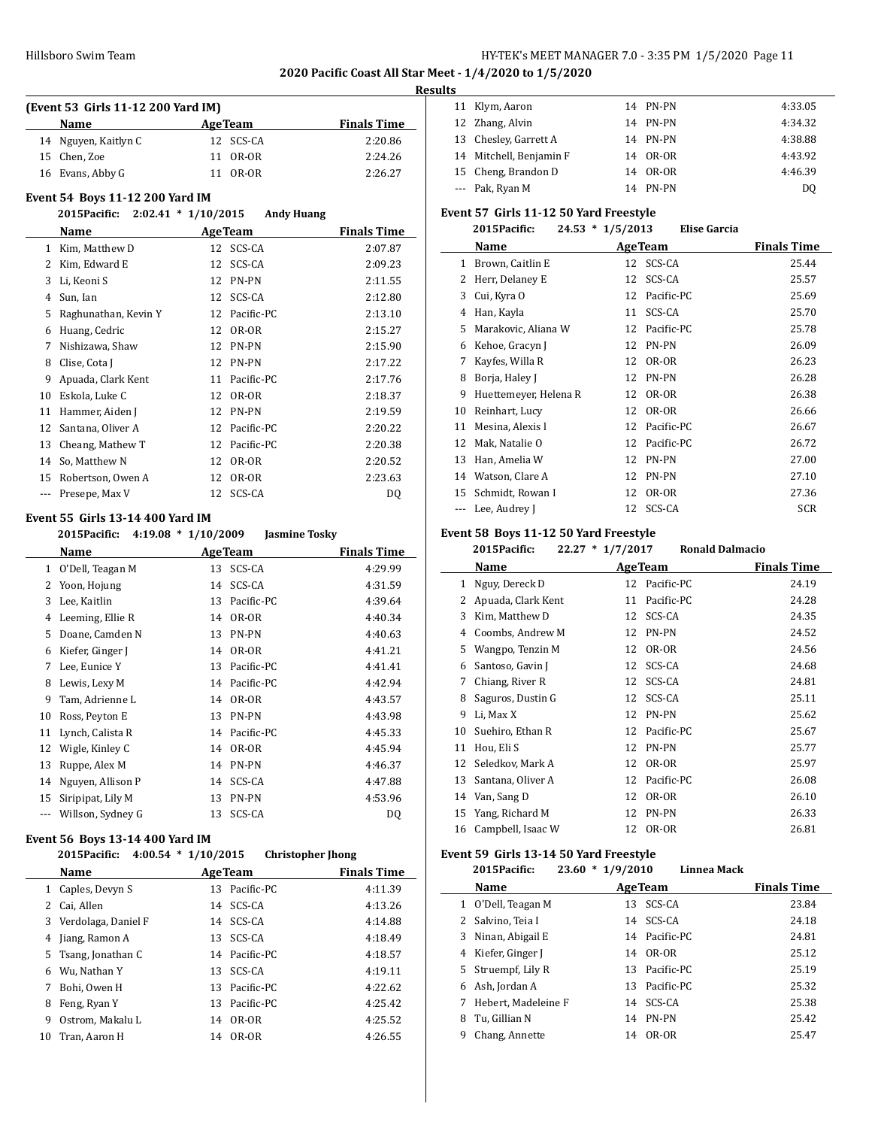**2020 Pacific Coast All Star Meet - 1/4/2020 to 1/5/2020**

#### **Results**

 $\overline{\phantom{a}}$ 

| (Event 53 Girls 11-12 200 Yard IM) |                                        |                   |                    |  |  |
|------------------------------------|----------------------------------------|-------------------|--------------------|--|--|
|                                    | Name                                   | <b>AgeTeam</b>    | <b>Finals Time</b> |  |  |
| 14                                 | Nguyen, Kaitlyn C                      | 12 SCS-CA         | 2:20.86            |  |  |
| 15                                 | Chen, Zoe                              | OR-OR<br>11       | 2:24.26            |  |  |
| 16                                 | Evans, Abby G                          | OR-OR<br>11       | 2:26.27            |  |  |
|                                    | <b>Event 54 Boys 11-12 200 Yard IM</b> |                   |                    |  |  |
|                                    | 2015 Pacific: 2:02.41 * 1/10/2015      | <b>Andy Huang</b> |                    |  |  |
|                                    | Name                                   | <b>AgeTeam</b>    | <b>Finals Time</b> |  |  |
| $\mathbf{1}$                       | Kim, Matthew D                         | 12 SCS-CA         | 2:07.87            |  |  |
| 2                                  | Kim, Edward E                          | SCS-CA<br>12      | 2:09.23            |  |  |
| 3                                  | Li, Keoni S                            | PN-PN<br>12       | 2:11.55            |  |  |
| 4                                  | Sun, Ian                               | SCS-CA<br>12      | 2:12.80            |  |  |
| 5                                  | Raghunathan, Kevin Y                   | Pacific-PC<br>12  | 2:13.10            |  |  |
| 6                                  | Huang, Cedric                          | OR-OR<br>12       | 2:15.27            |  |  |
| 7                                  | Nishizawa, Shaw                        | 12<br>PN-PN       | 2:15.90            |  |  |
| 8                                  | Clise, Cota J                          | PN-PN<br>12       | 2:17.22            |  |  |
| 9                                  | Apuada, Clark Kent                     | Pacific-PC<br>11  | 2:17.76            |  |  |
| 10                                 | Eskola, Luke C                         | OR-OR<br>12       | 2:18.37            |  |  |
| 11                                 | Hammer, Aiden J                        | PN-PN<br>12       | 2:19.59            |  |  |
| 12                                 | Santana, Oliver A                      | Pacific-PC<br>12  | 2:20.22            |  |  |
| 13                                 | Cheang, Mathew T                       | Pacific-PC<br>12  | 2:20.38            |  |  |
| 14                                 | So, Matthew N                          | OR-OR<br>12       | 2:20.52            |  |  |
| 15                                 | Robertson, Owen A                      | OR-OR<br>12       | 2:23.63            |  |  |
| ---                                | Presepe, Max V                         | SCS-CA<br>12      | D <sub>0</sub>     |  |  |

# **Event 55 Girls 13-14 400 Yard IM**<br>2015 Parific 4:19.08  $*$  1/10/

|    | 2015 Pacific: 4:19.08 * 1/10/2009 |    | Jasmine Tosky   |                    |
|----|-----------------------------------|----|-----------------|--------------------|
|    | <b>Name</b>                       |    | <b>Age Team</b> | <b>Finals Time</b> |
| 1  | O'Dell, Teagan M                  |    | 13 SCS-CA       | 4:29.99            |
| 2  | Yoon, Hojung                      |    | 14 SCS-CA       | 4:31.59            |
| 3  | Lee, Kaitlin                      | 13 | Pacific-PC      | 4:39.64            |
| 4  | Leeming, Ellie R                  | 14 | OR-OR           | 4:40.34            |
| 5  | Doane, Camden N                   |    | 13 PN-PN        | 4:40.63            |
| 6  | Kiefer, Ginger J                  | 14 | OR-OR           | 4:41.21            |
| 7  | Lee, Eunice Y                     |    | 13 Pacific-PC   | 4:41.41            |
| 8  | Lewis, Lexy M                     |    | 14 Pacific-PC   | 4:42.94            |
| 9  | Tam, Adrienne L                   | 14 | OR-OR           | 4:43.57            |
| 10 | Ross, Peyton E                    |    | 13 PN-PN        | 4:43.98            |
| 11 | Lynch, Calista R                  |    | 14 Pacific-PC   | 4:45.33            |
| 12 | Wigle, Kinley C                   | 14 | OR-OR           | 4:45.94            |
| 13 | Ruppe, Alex M                     |    | 14 PN-PN        | 4:46.37            |
| 14 | Nguyen, Allison P                 |    | 14 SCS-CA       | 4:47.88            |
| 15 | Siripipat, Lily M                 | 13 | PN-PN           | 4:53.96            |
|    | Willson, Sydney G                 | 13 | SCS-CA          | DQ                 |
|    |                                   |    |                 |                    |

### **Event 56 Boys 13-14 400 Yard IM**

|    | $4:00.54 * 1/10/2015$<br>2015Pacific: |    | <b>Christopher Ihong</b> |                    |
|----|---------------------------------------|----|--------------------------|--------------------|
|    | Name                                  |    | <b>AgeTeam</b>           | <b>Finals Time</b> |
| 1  | Caples, Devyn S                       |    | 13 Pacific-PC            | 4:11.39            |
|    | Cai, Allen                            |    | 14 SCS-CA                | 4:13.26            |
| 3  | Verdolaga, Daniel F                   |    | 14 SCS-CA                | 4:14.88            |
| 4  | Jiang, Ramon A                        |    | 13 SCS-CA                | 4:18.49            |
|    | 5 Tsang, Jonathan C                   |    | 14 Pacific-PC            | 4:18.57            |
| 6  | Wu, Nathan Y                          |    | 13 SCS-CA                | 4:19.11            |
|    | Bohi. Owen H                          |    | 13 Pacific-PC            | 4:22.62            |
| 8  | Feng, Ryan Y                          |    | 13 Pacific-PC            | 4:25.42            |
| 9  | Ostrom, Makalu L                      | 14 | OR-OR                    | 4:25.52            |
| 10 | Tran, Aaron H                         | 14 | OR-OR                    | 4:26.55            |

|  | 11 Klym, Aaron          | 14 PN-PN | 4:33.05 |
|--|-------------------------|----------|---------|
|  | 12 Zhang, Alvin         | 14 PN-PN | 4:34.32 |
|  | 13 Chesley, Garrett A   | 14 PN-PN | 4:38.88 |
|  | 14 Mitchell, Benjamin F | 14 OR-OR | 4:43.92 |
|  | 15 Cheng, Brandon D     | 14 OR-OR | 4:46.39 |
|  | --- Pak, Ryan M         | 14 PN-PN | D0      |

# **Event 57 Girls 11-12 50 Yard Freestyle**

### **2015Pacific: 24.53 \* 1/5/2013 Elise Garcia**

|    | Name                  |    | <b>AgeTeam</b> | <b>Finals Time</b> |
|----|-----------------------|----|----------------|--------------------|
| 1  | Brown, Caitlin E      |    | 12 SCS-CA      | 25.44              |
| 2  | Herr, Delaney E       | 12 | SCS-CA         | 25.57              |
| 3  | Cui, Kyra O           | 12 | Pacific-PC     | 25.69              |
| 4  | Han, Kayla            | 11 | SCS-CA         | 25.70              |
| 5  | Marakovic, Aliana W   | 12 | Pacific-PC     | 25.78              |
| 6  | Kehoe, Gracyn J       | 12 | <b>PN-PN</b>   | 26.09              |
| 7  | Kayfes, Willa R       | 12 | OR-OR          | 26.23              |
| 8  | Borja, Haley J        | 12 | PN-PN          | 26.28              |
| 9  | Huettemeyer, Helena R | 12 | OR-OR          | 26.38              |
| 10 | Reinhart, Lucy        | 12 | OR-OR          | 26.66              |
| 11 | Mesina, Alexis l      | 12 | Pacific-PC     | 26.67              |
| 12 | Mak, Natalie O        | 12 | Pacific-PC     | 26.72              |
| 13 | Han, Amelia W         | 12 | PN-PN          | 27.00              |
| 14 | Watson, Clare A       | 12 | PN-PN          | 27.10              |
| 15 | Schmidt, Rowan I      | 12 | OR-OR          | 27.36              |
|    | Lee, Audrey J         | 12 | SCS-CA         | SCR                |
|    |                       |    |                |                    |

### **Event 58 Boys 11-12 50 Yard Freestyle**

|    | $22.27 * 1/7/2017$<br>2015Pacific: |    | <b>Ronald Dalmacio</b> |                    |
|----|------------------------------------|----|------------------------|--------------------|
|    | Name                               |    | <b>AgeTeam</b>         | <b>Finals Time</b> |
| 1  | Nguy, Dereck D                     |    | 12 Pacific-PC          | 24.19              |
| 2  | Apuada, Clark Kent                 | 11 | Pacific-PC             | 24.28              |
| 3  | Kim, Matthew D                     | 12 | SCS-CA                 | 24.35              |
| 4  | Coombs, Andrew M                   | 12 | PN-PN                  | 24.52              |
| 5  | Wangpo, Tenzin M                   | 12 | OR-OR                  | 24.56              |
| 6  | Santoso, Gavin J                   | 12 | SCS-CA                 | 24.68              |
| 7  | Chiang, River R                    | 12 | SCS-CA                 | 24.81              |
| 8  | Saguros, Dustin G                  | 12 | SCS-CA                 | 25.11              |
| 9  | Li, Max X                          | 12 | PN-PN                  | 25.62              |
| 10 | Suehiro, Ethan R                   | 12 | Pacific-PC             | 25.67              |
| 11 | Hou, Eli S                         | 12 | <b>PN-PN</b>           | 25.77              |
| 12 | Seledkov, Mark A                   | 12 | OR-OR                  | 25.97              |
| 13 | Santana, Oliver A                  | 12 | Pacific-PC             | 26.08              |
| 14 | Van, Sang D                        | 12 | OR-OR                  | 26.10              |
| 15 | Yang, Richard M                    | 12 | PN-PN                  | 26.33              |
| 16 | Campbell, Isaac W                  | 12 | OR-OR                  | 26.81              |

### **Event 59 Girls 13-14 50 Yard Freestyle**

|    | 2015Pacific:        | $23.60 * 1/9/2010$ |    |                | Linnea Mack |                    |
|----|---------------------|--------------------|----|----------------|-------------|--------------------|
|    | Name                |                    |    | <b>AgeTeam</b> |             | <b>Finals Time</b> |
|    | 1 O'Dell, Teagan M  |                    |    | 13 SCS-CA      |             | 23.84              |
|    | Salvino, Teia I     |                    |    | 14 SCS-CA      |             | 24.18              |
| 3  | Ninan, Abigail E    |                    |    | 14 Pacific-PC  |             | 24.81              |
|    | 4 Kiefer, Ginger J  |                    |    | 14 OR-OR       |             | 25.12              |
|    | 5 Struempf, Lily R  |                    |    | 13 Pacific-PC  |             | 25.19              |
| 6. | Ash, Jordan A       |                    |    | 13 Pacific-PC  |             | 25.32              |
| 7  | Hebert, Madeleine F |                    |    | 14 SCS-CA      |             | 25.38              |
| 8  | Tu. Gillian N       |                    | 14 | <b>PN-PN</b>   |             | 25.42              |
| 9  | Chang, Annette      |                    | 14 | OR-OR          |             | 25.47              |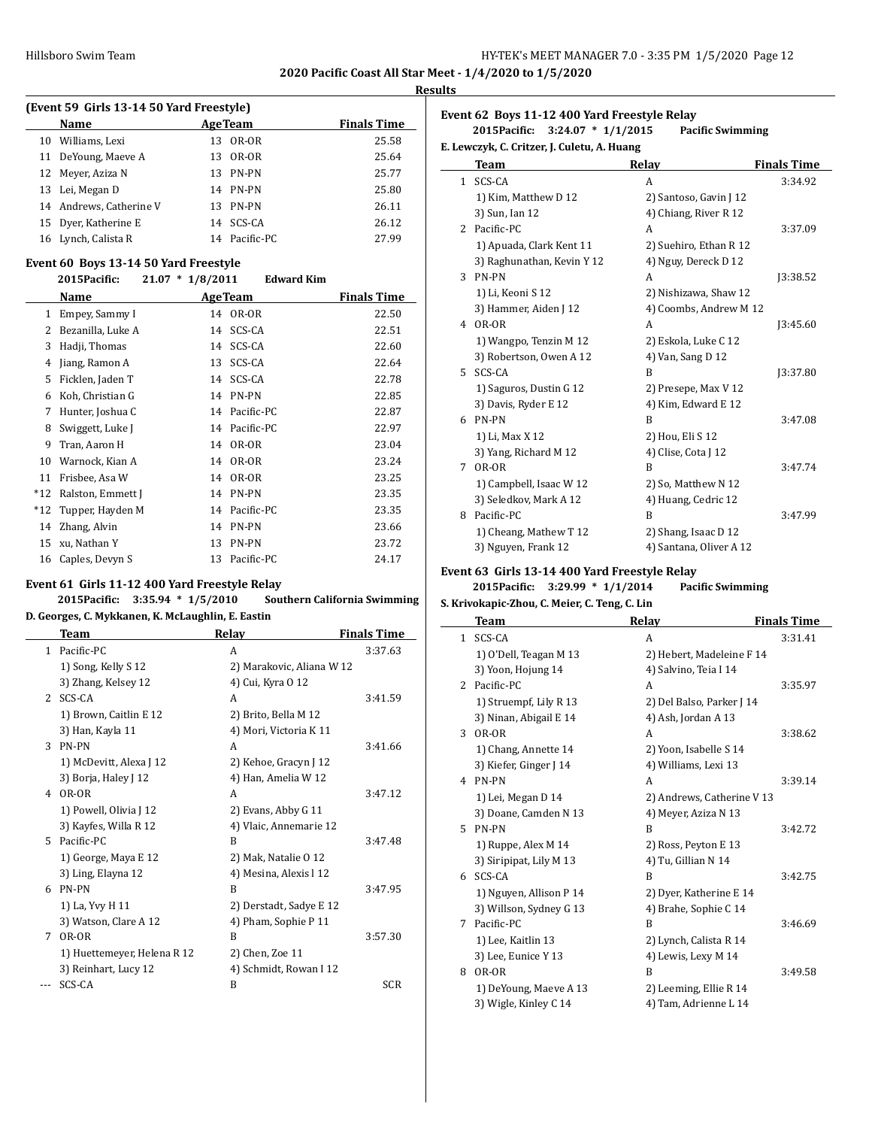$\overline{a}$ 

L,

**2020 Pacific Coast All Star Meet - 1/4/2020 to 1/5/2020**

#### **Results**

|    | (Event 59 Girls 13-14 50 Yard Freestyle) |     |                |                    |
|----|------------------------------------------|-----|----------------|--------------------|
|    | Name                                     |     | <b>AgeTeam</b> | <b>Finals Time</b> |
| 10 | Williams, Lexi                           | 13  | OR-OR          | 25.58              |
|    | 11 DeYoung, Maeve A                      |     | 13 OR-OR       | 25.64              |
|    | 12 Meyer, Aziza N                        |     | 13 PN-PN       | 25.77              |
|    | 13 Lei, Megan D                          |     | 14 PN-PN       | 25.80              |
|    | 14 Andrews, Catherine V                  | 13. | PN-PN          | 26.11              |
|    | 15 Dyer, Katherine E                     |     | 14 SCS-CA      | 26.12              |
|    | 16 Lynch, Calista R                      |     | 14 Pacific-PC  | 27.99              |

#### **Event 60 Boys 13-14 50 Yard Freestyle 2015Pacific: 21.07 \* 1/8/2011 Edward Kim**

|       | 2015Pacific:      | $21.07 * 1/8/2011$ |                 | Edward Kim |                    |
|-------|-------------------|--------------------|-----------------|------------|--------------------|
|       | Name              |                    | <b>Age Team</b> |            | <b>Finals Time</b> |
| 1     | Empey, Sammy I    |                    | 14 OR-OR        |            | 22.50              |
| 2     | Bezanilla, Luke A | 14                 | SCS-CA          |            | 22.51              |
| 3     | Hadji, Thomas     | 14                 | SCS-CA          |            | 22.60              |
| 4     | Jiang, Ramon A    | 13                 | SCS-CA          |            | 22.64              |
| 5     | Ficklen, Jaden T  | 14                 | SCS-CA          |            | 22.78              |
| 6     | Koh, Christian G  | 14                 | <b>PN-PN</b>    |            | 22.85              |
| 7     | Hunter, Joshua C  | 14                 | Pacific-PC      |            | 22.87              |
| 8     | Swiggett, Luke J  | 14                 | Pacific-PC      |            | 22.97              |
| 9     | Tran, Aaron H     | 14                 | OR-OR           |            | 23.04              |
| 10    | Warnock, Kian A   | 14                 | OR-OR           |            | 23.24              |
| 11    | Frisbee, Asa W    | 14                 | OR-OR           |            | 23.25              |
| $*12$ | Ralston, Emmett J | 14                 | <b>PN-PN</b>    |            | 23.35              |
| $*12$ | Tupper, Hayden M  | 14                 | Pacific-PC      |            | 23.35              |
| 14    | Zhang, Alvin      | 14                 | <b>PN-PN</b>    |            | 23.66              |
| 15    | xu, Nathan Y      | 13                 | PN-PN           |            | 23.72              |
| 16    | Caples, Devyn S   | 13                 | Pacific-PC      |            | 24.17              |

### **Event 61 Girls 11-12 400 Yard Freestyle Relay**

**2015Pacific: 3:35.94 \* 1/5/2010 Southern California Swimming**

### **D. Georges, C. Mykkanen, K. McLaughlin, E. Eastin**

|                | Team                        | Relay                     | <b>Finals Time</b> |
|----------------|-----------------------------|---------------------------|--------------------|
| 1              | Pacific-PC                  | A                         | 3:37.63            |
|                | 1) Song, Kelly S 12         | 2) Marakovic, Aliana W 12 |                    |
|                | 3) Zhang, Kelsey 12         | 4) Cui, Kyra 0 12         |                    |
| $\overline{2}$ | SCS-CA                      | A                         | 3:41.59            |
|                | 1) Brown, Caitlin E 12      | 2) Brito, Bella M 12      |                    |
|                | 3) Han, Kayla 11            | 4) Mori, Victoria K 11    |                    |
| 3              | PN-PN                       | A                         | 3:41.66            |
|                | 1) McDevitt, Alexa J 12     | 2) Kehoe, Gracyn J 12     |                    |
|                | 3) Borja, Haley J 12        | 4) Han, Amelia W 12       |                    |
| 4              | OR-OR                       | A                         | 3:47.12            |
|                | 1) Powell, Olivia J 12      | 2) Evans, Abby G 11       |                    |
|                | 3) Kayfes, Willa R 12       | 4) Vlaic, Annemarie 12    |                    |
| 5.             | Pacific-PC                  | B                         | 3:47.48            |
|                | 1) George, Maya E 12        | 2) Mak, Natalie O 12      |                    |
|                | 3) Ling, Elayna 12          | 4) Mesina, Alexis l 12    |                    |
| 6              | PN-PN                       | B                         | 3:47.95            |
|                | 1) La, Yvy H 11             | 2) Derstadt, Sadye E 12   |                    |
|                | 3) Watson, Clare A 12       | 4) Pham, Sophie P 11      |                    |
| 7              | OR-OR                       | B                         | 3:57.30            |
|                | 1) Huettemeyer, Helena R 12 | 2) Chen, Zoe 11           |                    |
|                | 3) Reinhart, Lucy 12        | 4) Schmidt, Rowan I 12    |                    |
|                | SCS-CA                      | B                         | <b>SCR</b>         |

# **Event 62 Boys 11-12 400 Yard Freestyle Relay**

**2015Pacific: 3:24.07 \* 1/1/2015 Pacific Swimming E. Lewczyk, C. Critzer, J. Culetu, A. Huang**

|              | <b>Team</b>                | Relay                   | <b>Finals Time</b> |
|--------------|----------------------------|-------------------------|--------------------|
| $\mathbf{1}$ | SCS-CA                     | A                       | 3:34.92            |
|              | 1) Kim, Matthew D 12       | 2) Santoso, Gavin J 12  |                    |
|              | 3) Sun, Ian 12             | 4) Chiang, River R 12   |                    |
|              | 2 Pacific-PC               | A                       | 3:37.09            |
|              | 1) Apuada, Clark Kent 11   | 2) Suehiro, Ethan R 12  |                    |
|              | 3) Raghunathan, Kevin Y 12 | 4) Nguy, Dereck D 12    |                    |
| 3            | PN-PN                      | A                       | 13:38.52           |
|              | 1) Li, Keoni S 12          | 2) Nishizawa, Shaw 12   |                    |
|              | 3) Hammer, Aiden J 12      | 4) Coombs, Andrew M 12  |                    |
| 4            | OR-OR                      | A                       | 13:45.60           |
|              | 1) Wangpo, Tenzin M 12     | 2) Eskola, Luke C 12    |                    |
|              | 3) Robertson, Owen A 12    | 4) Van, Sang D 12       |                    |
| 5.           | SCS-CA                     | B                       | <b>J3:37.80</b>    |
|              | 1) Saguros, Dustin G 12    | 2) Presepe, Max V 12    |                    |
|              | 3) Davis, Ryder E 12       | 4) Kim, Edward E 12     |                    |
|              | 6 PN-PN                    | B                       | 3:47.08            |
|              | 1) Li, Max X 12            | 2) Hou, Eli S 12        |                    |
|              | 3) Yang, Richard M 12      | 4) Clise, Cota J 12     |                    |
| 7            | OR-OR                      | B                       | 3:47.74            |
|              | 1) Campbell, Isaac W 12    | 2) So, Matthew N 12     |                    |
|              | 3) Seledkov, Mark A 12     | 4) Huang, Cedric 12     |                    |
| 8            | Pacific-PC                 | B                       | 3:47.99            |
|              | 1) Cheang, Mathew T 12     | 2) Shang, Isaac D 12    |                    |
|              | 3) Nguyen, Frank 12        | 4) Santana, Oliver A 12 |                    |

### **Event 63 Girls 13-14 400 Yard Freestyle Relay 2015Pacific: 3:29.99 \* 1/1/2014 Pacific Swimming**

# **S. Krivokapic-Zhou, C. Meier, C. Teng, C. Lin**

|                | Team                    | Relay                      | <b>Finals Time</b> |
|----------------|-------------------------|----------------------------|--------------------|
| $\mathbf{1}$   | SCS-CA                  | A                          | 3:31.41            |
|                | 1) O'Dell, Teagan M 13  | 2) Hebert, Madeleine F 14  |                    |
|                | 3) Yoon, Hojung 14      | 4) Salvino, Teia I 14      |                    |
| $\overline{2}$ | Pacific-PC              | A                          | 3:35.97            |
|                | 1) Struempf, Lily R 13  | 2) Del Balso, Parker J 14  |                    |
|                | 3) Ninan, Abigail E 14  | 4) Ash, Jordan A 13        |                    |
| 3              | OR-OR                   | A                          | 3:38.62            |
|                | 1) Chang, Annette 14    | 2) Yoon, Isabelle S 14     |                    |
|                | 3) Kiefer, Ginger J 14  | 4) Williams, Lexi 13       |                    |
| 4              | PN-PN                   | A                          | 3:39.14            |
|                | 1) Lei, Megan D 14      | 2) Andrews, Catherine V 13 |                    |
|                | 3) Doane, Camden N 13   | 4) Meyer, Aziza N 13       |                    |
| 5.             | PN-PN                   | B                          | 3:42.72            |
|                | 1) Ruppe, Alex M 14     | 2) Ross, Peyton E 13       |                    |
|                | 3) Siripipat, Lily M 13 | 4) Tu, Gillian N 14        |                    |
| 6              | SCS-CA                  | B                          | 3:42.75            |
|                | 1) Nguyen, Allison P 14 | 2) Dyer, Katherine E 14    |                    |
|                | 3) Willson, Sydney G 13 | 4) Brahe, Sophie C 14      |                    |
| 7              | Pacific-PC              | B                          | 3:46.69            |
|                | 1) Lee, Kaitlin 13      | 2) Lynch, Calista R 14     |                    |
|                | 3) Lee, Eunice Y 13     | 4) Lewis, Lexy M 14        |                    |
| 8              | OR-OR                   | B                          | 3:49.58            |
|                | 1) DeYoung, Maeve A 13  | 2) Leeming, Ellie R 14     |                    |
|                | 3) Wigle, Kinley C 14   | 4) Tam, Adrienne L 14      |                    |